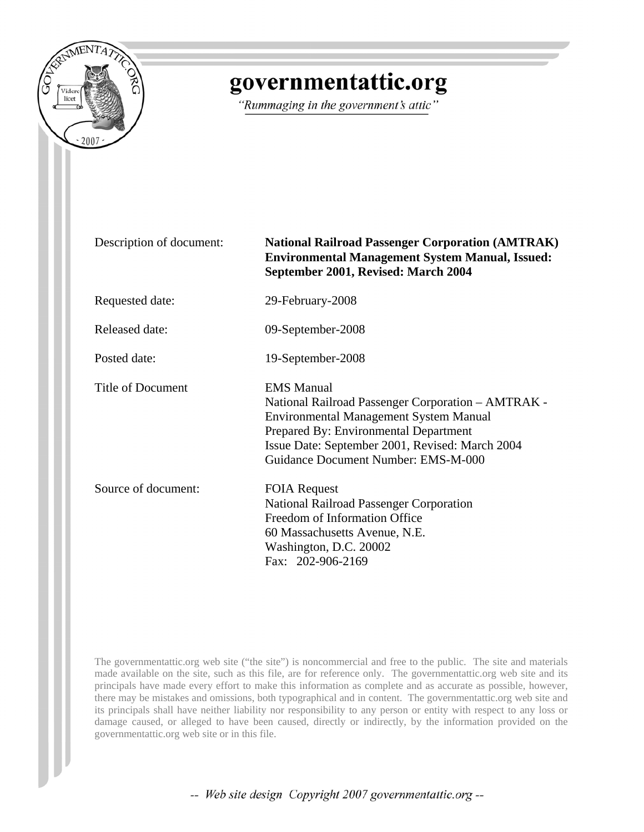

# governmentattic.org

"Rummaging in the government's attic"

| Description of document: | <b>National Railroad Passenger Corporation (AMTRAK)</b><br><b>Environmental Management System Manual, Issued:</b><br>September 2001, Revised: March 2004                                                                                                    |
|--------------------------|-------------------------------------------------------------------------------------------------------------------------------------------------------------------------------------------------------------------------------------------------------------|
| Requested date:          | 29-February-2008                                                                                                                                                                                                                                            |
| <b>Released date:</b>    | 09-September-2008                                                                                                                                                                                                                                           |
| Posted date:             | 19-September-2008                                                                                                                                                                                                                                           |
| Title of Document        | <b>EMS</b> Manual<br>National Railroad Passenger Corporation – AMTRAK -<br><b>Environmental Management System Manual</b><br>Prepared By: Environmental Department<br>Issue Date: September 2001, Revised: March 2004<br>Guidance Document Number: EMS-M-000 |
| Source of document:      | <b>FOIA Request</b><br><b>National Railroad Passenger Corporation</b><br>Freedom of Information Office<br>60 Massachusetts Avenue, N.E.<br>Washington, D.C. 20002<br>Fax: 202-906-2169                                                                      |

The governmentattic.org web site ("the site") is noncommercial and free to the public. The site and materials made available on the site, such as this file, are for reference only. The governmentattic.org web site and its principals have made every effort to make this information as complete and as accurate as possible, however, there may be mistakes and omissions, both typographical and in content. The governmentattic.org web site and its principals shall have neither liability nor responsibility to any person or entity with respect to any loss or damage caused, or alleged to have been caused, directly or indirectly, by the information provided on the governmentattic.org web site or in this file.

-- Web site design Copyright 2007 governmentattic.org --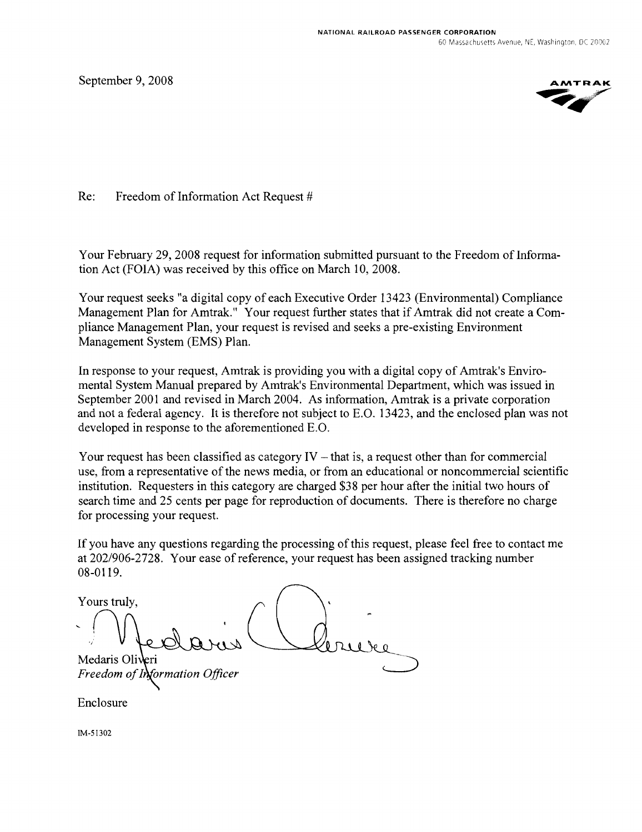September 9, 2008



Re: Freedom of Information Act Request #

Your February 29, 2008 request for information submitted pursuant to the Freedom of Information Act (FOIA) was received by this office on March 10, 2008.

Your request seeks "a digital copy of each Executive Order 13423 (Environmental) Compliance Management Plan for Amtrak." Your request further states that if Amtrak did not create a Compliance Management Plan, your request is revised and seeks a pre-existing Environment Management System (EMS) Plan.

In response to your request, Amtrak is providing you with a digital copy of Amtrak's Enviromental System Manual prepared by Amtrak's Environmental Department, which was issued in September 2001 and revised in March 2004. As information, Amtrak is a private corporation and not a federal agency. It is therefore not subject to E.O. 13423, and the enclosed plan was not developed in response to the aforementioned E.O.

Your request has been classified as category  $IV -$  that is, a request other than for commercial use, from a representative of the news media, or from an educational or noncommercial scientific institution. Requesters in this category are charged \$38 per hour after the initial two hours of search time and 25 cents per page for reproduction of documents. There is therefore no charge for processing your request.

If you have any questions regarding the processing of this request, please feel free to contact me at 202/906-2728. Your ease of reference, your request has been assigned tracking number 08-0119.

Yours truly, Medaris Oli Freedom of ormation Officer

Enclosure

IM·51302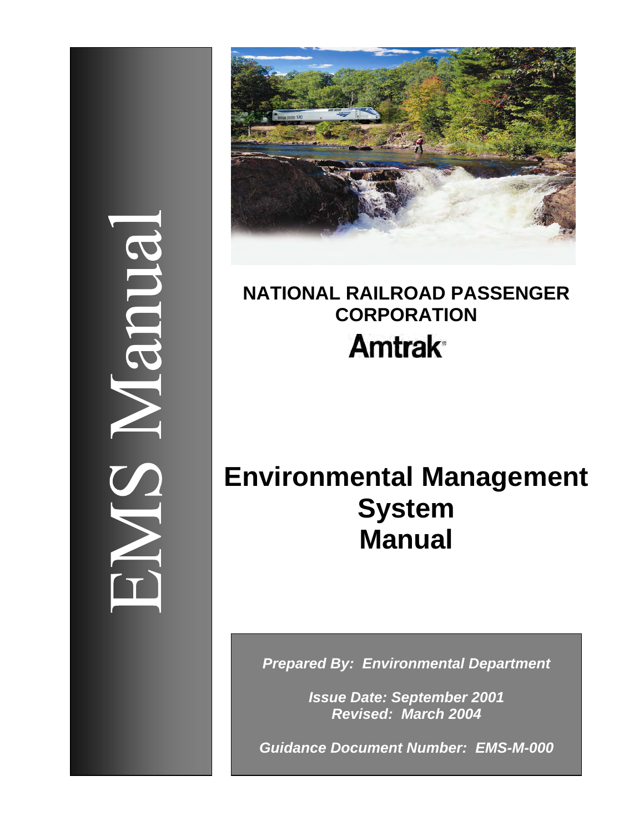# 3003



# **NATIONAL RAILROAD PASSENGER CORPORATION Amtrak**<sup>®</sup>

# **Environmental Management System Manual**

*Prepared By: Environmental Department* 

*Issue Date: September 2001 Revised: March 2004* 

*Guidance Document Number: EMS-M-000*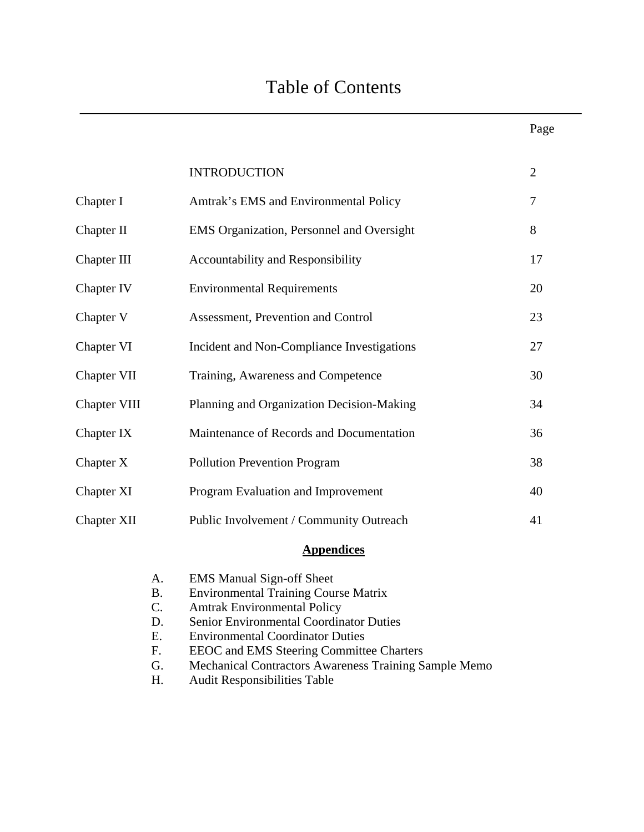|                    | <b>INTRODUCTION</b>                        | 2  |
|--------------------|--------------------------------------------|----|
| Chapter I          | Amtrak's EMS and Environmental Policy      | 7  |
| Chapter II         | EMS Organization, Personnel and Oversight  | 8  |
| Chapter III        | <b>Accountability and Responsibility</b>   | 17 |
| Chapter IV         | <b>Environmental Requirements</b>          | 20 |
| Chapter V          | Assessment, Prevention and Control         | 23 |
| Chapter VI         | Incident and Non-Compliance Investigations | 27 |
| Chapter VII        | Training, Awareness and Competence         | 30 |
| Chapter VIII       | Planning and Organization Decision-Making  | 34 |
| Chapter IX         | Maintenance of Records and Documentation   | 36 |
| Chapter X          | <b>Pollution Prevention Program</b>        | 38 |
| Chapter XI         | Program Evaluation and Improvement         | 40 |
| <b>Chapter XII</b> | Public Involvement / Community Outreach    | 41 |
|                    |                                            |    |

### **Appendices**

| A. | <b>EMS</b> Manual Sign-off Sheet                             |
|----|--------------------------------------------------------------|
| B. | <b>Environmental Training Course Matrix</b>                  |
| C. | <b>Amtrak Environmental Policy</b>                           |
| D. | Senior Environmental Coordinator Duties                      |
| Е. | <b>Environmental Coordinator Duties</b>                      |
| F. | <b>EEOC</b> and <b>EMS</b> Steering Committee Charters       |
| G. | <b>Mechanical Contractors Awareness Training Sample Memo</b> |
| Н. | <b>Audit Responsibilities Table</b>                          |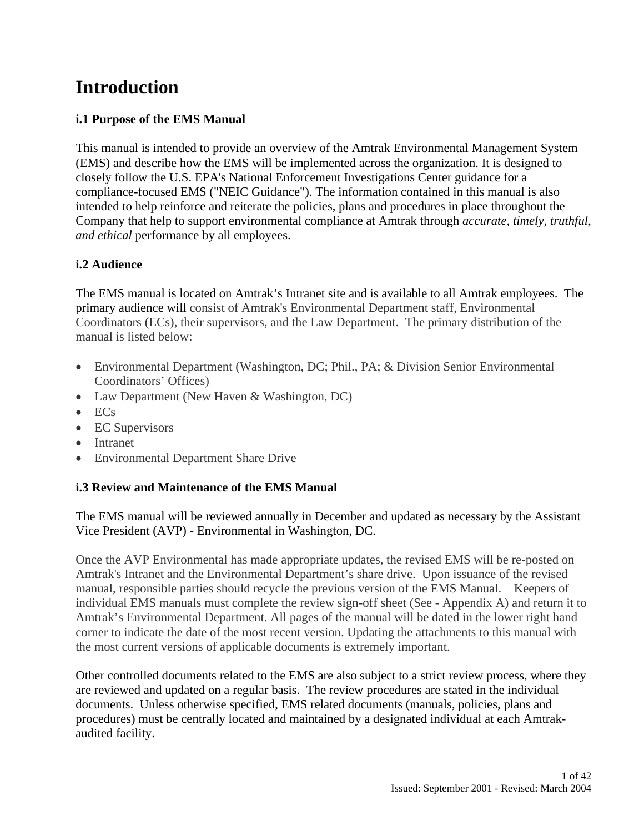## **Introduction**

### **i.1 Purpose of the EMS Manual**

This manual is intended to provide an overview of the Amtrak Environmental Management System (EMS) and describe how the EMS will be implemented across the organization. It is designed to closely follow the U.S. EPA's National Enforcement Investigations Center guidance for a compliance-focused EMS ("NEIC Guidance"). The information contained in this manual is also intended to help reinforce and reiterate the policies, plans and procedures in place throughout the Company that help to support environmental compliance at Amtrak through *accurate, timely, truthful, and ethical* performance by all employees.

### **i.2 Audience**

The EMS manual is located on Amtrak's Intranet site and is available to all Amtrak employees. The primary audience will consist of Amtrak's Environmental Department staff, Environmental Coordinators (ECs), their supervisors, and the Law Department. The primary distribution of the manual is listed below:

- Environmental Department (Washington, DC; Phil., PA; & Division Senior Environmental Coordinators' Offices)
- Law Department (New Haven & Washington, DC)
- ECs
- EC Supervisors
- Intranet
- Environmental Department Share Drive

### **i.3 Review and Maintenance of the EMS Manual**

The EMS manual will be reviewed annually in December and updated as necessary by the Assistant Vice President (AVP) - Environmental in Washington, DC.

Once the AVP Environmental has made appropriate updates, the revised EMS will be re-posted on Amtrak's Intranet and the Environmental Department's share drive. Upon issuance of the revised manual, responsible parties should recycle the previous version of the EMS Manual. Keepers of individual EMS manuals must complete the review sign-off sheet (See - Appendix A) and return it to Amtrak's Environmental Department. All pages of the manual will be dated in the lower right hand corner to indicate the date of the most recent version. Updating the attachments to this manual with the most current versions of applicable documents is extremely important.

Other controlled documents related to the EMS are also subject to a strict review process, where they are reviewed and updated on a regular basis. The review procedures are stated in the individual documents. Unless otherwise specified, EMS related documents (manuals, policies, plans and procedures) must be centrally located and maintained by a designated individual at each Amtrakaudited facility.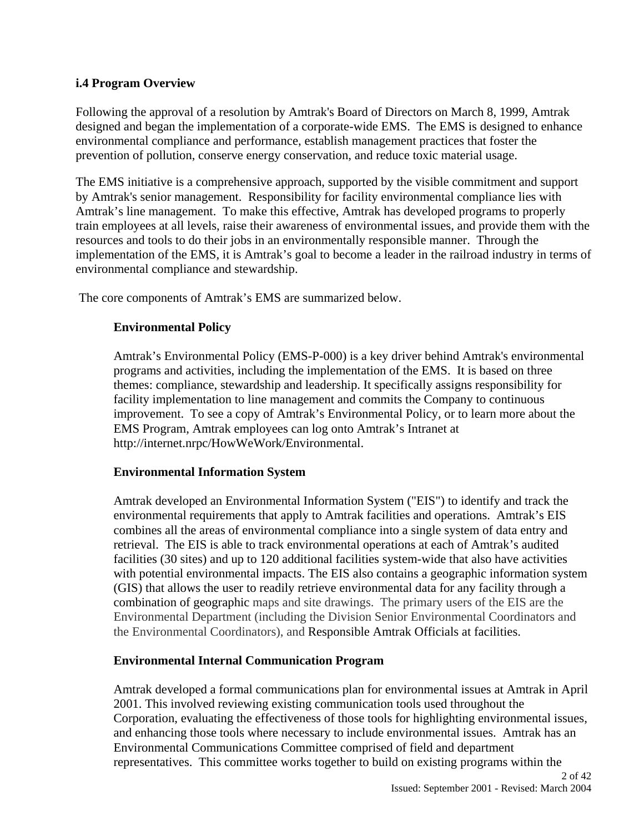### **i.4 Program Overview**

Following the approval of a resolution by Amtrak's Board of Directors on March 8, 1999, Amtrak designed and began the implementation of a corporate-wide EMS. The EMS is designed to enhance environmental compliance and performance, establish management practices that foster the prevention of pollution, conserve energy conservation, and reduce toxic material usage.

The EMS initiative is a comprehensive approach, supported by the visible commitment and support by Amtrak's senior management. Responsibility for facility environmental compliance lies with Amtrak's line management. To make this effective, Amtrak has developed programs to properly train employees at all levels, raise their awareness of environmental issues, and provide them with the resources and tools to do their jobs in an environmentally responsible manner. Through the implementation of the EMS, it is Amtrak's goal to become a leader in the railroad industry in terms of environmental compliance and stewardship.

The core components of Amtrak's EMS are summarized below.

### **Environmental Policy**

Amtrak's Environmental Policy (EMS-P-000) is a key driver behind Amtrak's environmental programs and activities, including the implementation of the EMS. It is based on three themes: compliance, stewardship and leadership. It specifically assigns responsibility for facility implementation to line management and commits the Company to continuous improvement. To see a copy of Amtrak's Environmental Policy, or to learn more about the EMS Program, Amtrak employees can log onto Amtrak's Intranet at http://internet.nrpc/HowWeWork/Environmental.

### **Environmental Information System**

Amtrak developed an Environmental Information System ("EIS") to identify and track the environmental requirements that apply to Amtrak facilities and operations. Amtrak's EIS combines all the areas of environmental compliance into a single system of data entry and retrieval. The EIS is able to track environmental operations at each of Amtrak's audited facilities (30 sites) and up to 120 additional facilities system-wide that also have activities with potential environmental impacts. The EIS also contains a geographic information system (GIS) that allows the user to readily retrieve environmental data for any facility through a combination of geographic maps and site drawings. The primary users of the EIS are the Environmental Department (including the Division Senior Environmental Coordinators and the Environmental Coordinators), and Responsible Amtrak Officials at facilities.

### **Environmental Internal Communication Program**

Amtrak developed a formal communications plan for environmental issues at Amtrak in April 2001. This involved reviewing existing communication tools used throughout the Corporation, evaluating the effectiveness of those tools for highlighting environmental issues, and enhancing those tools where necessary to include environmental issues. Amtrak has an Environmental Communications Committee comprised of field and department representatives. This committee works together to build on existing programs within the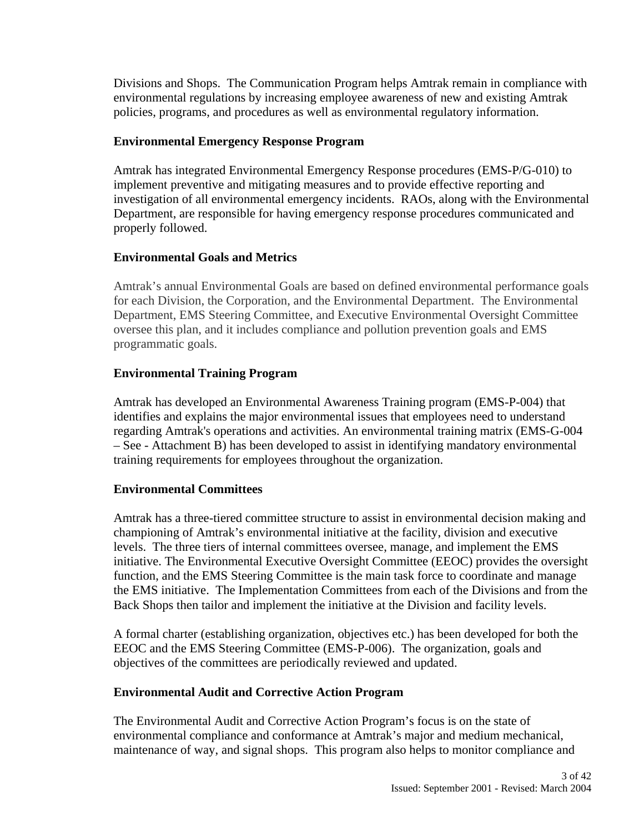Divisions and Shops. The Communication Program helps Amtrak remain in compliance with environmental regulations by increasing employee awareness of new and existing Amtrak policies, programs, and procedures as well as environmental regulatory information.

### **Environmental Emergency Response Program**

Amtrak has integrated Environmental Emergency Response procedures (EMS-P/G-010) to implement preventive and mitigating measures and to provide effective reporting and investigation of all environmental emergency incidents. RAOs, along with the Environmental Department, are responsible for having emergency response procedures communicated and properly followed.

### **Environmental Goals and Metrics**

Amtrak's annual Environmental Goals are based on defined environmental performance goals for each Division, the Corporation, and the Environmental Department. The Environmental Department, EMS Steering Committee, and Executive Environmental Oversight Committee oversee this plan, and it includes compliance and pollution prevention goals and EMS programmatic goals.

### **Environmental Training Program**

Amtrak has developed an Environmental Awareness Training program (EMS-P-004) that identifies and explains the major environmental issues that employees need to understand regarding Amtrak's operations and activities. An environmental training matrix (EMS-G-004 – See - Attachment B) has been developed to assist in identifying mandatory environmental training requirements for employees throughout the organization.

### **Environmental Committees**

Amtrak has a three-tiered committee structure to assist in environmental decision making and championing of Amtrak's environmental initiative at the facility, division and executive levels. The three tiers of internal committees oversee, manage, and implement the EMS initiative. The Environmental Executive Oversight Committee (EEOC) provides the oversight function, and the EMS Steering Committee is the main task force to coordinate and manage the EMS initiative. The Implementation Committees from each of the Divisions and from the Back Shops then tailor and implement the initiative at the Division and facility levels.

A formal charter (establishing organization, objectives etc.) has been developed for both the EEOC and the EMS Steering Committee (EMS-P-006). The organization, goals and objectives of the committees are periodically reviewed and updated.

### **Environmental Audit and Corrective Action Program**

The Environmental Audit and Corrective Action Program's focus is on the state of environmental compliance and conformance at Amtrak's major and medium mechanical, maintenance of way, and signal shops. This program also helps to monitor compliance and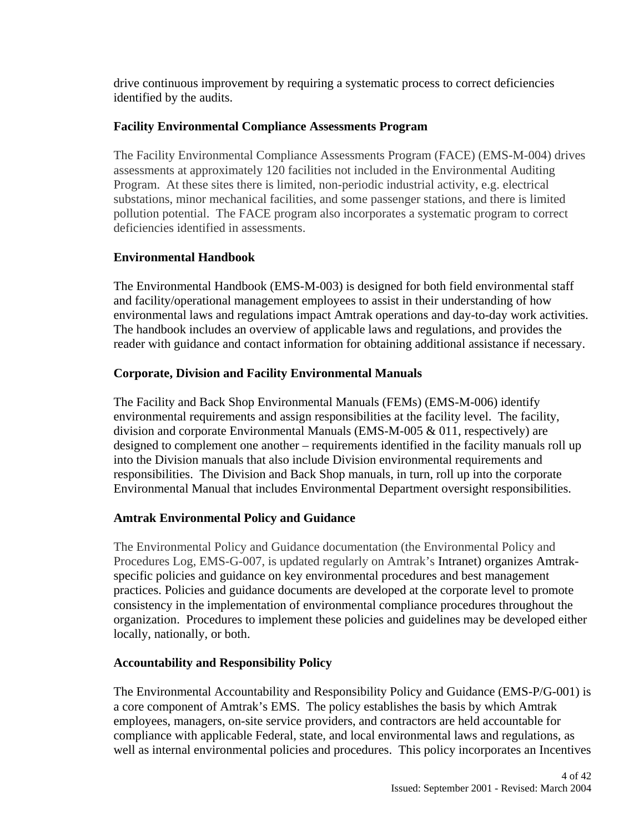drive continuous improvement by requiring a systematic process to correct deficiencies identified by the audits.

### **Facility Environmental Compliance Assessments Program**

The Facility Environmental Compliance Assessments Program (FACE) (EMS-M-004) drives assessments at approximately 120 facilities not included in the Environmental Auditing Program. At these sites there is limited, non-periodic industrial activity, e.g. electrical substations, minor mechanical facilities, and some passenger stations, and there is limited pollution potential. The FACE program also incorporates a systematic program to correct deficiencies identified in assessments.

### **Environmental Handbook**

The Environmental Handbook (EMS-M-003) is designed for both field environmental staff and facility/operational management employees to assist in their understanding of how environmental laws and regulations impact Amtrak operations and day-to-day work activities. The handbook includes an overview of applicable laws and regulations, and provides the reader with guidance and contact information for obtaining additional assistance if necessary.

### **Corporate, Division and Facility Environmental Manuals**

The Facility and Back Shop Environmental Manuals (FEMs) (EMS-M-006) identify environmental requirements and assign responsibilities at the facility level. The facility, division and corporate Environmental Manuals (EMS-M-005 & 011, respectively) are designed to complement one another – requirements identified in the facility manuals roll up into the Division manuals that also include Division environmental requirements and responsibilities. The Division and Back Shop manuals, in turn, roll up into the corporate Environmental Manual that includes Environmental Department oversight responsibilities.

### **Amtrak Environmental Policy and Guidance**

The Environmental Policy and Guidance documentation (the Environmental Policy and Procedures Log, EMS-G-007, is updated regularly on Amtrak's Intranet) organizes Amtrakspecific policies and guidance on key environmental procedures and best management practices. Policies and guidance documents are developed at the corporate level to promote consistency in the implementation of environmental compliance procedures throughout the organization. Procedures to implement these policies and guidelines may be developed either locally, nationally, or both.

### **Accountability and Responsibility Policy**

The Environmental Accountability and Responsibility Policy and Guidance (EMS-P/G-001) is a core component of Amtrak's EMS. The policy establishes the basis by which Amtrak employees, managers, on-site service providers, and contractors are held accountable for compliance with applicable Federal, state, and local environmental laws and regulations, as well as internal environmental policies and procedures. This policy incorporates an Incentives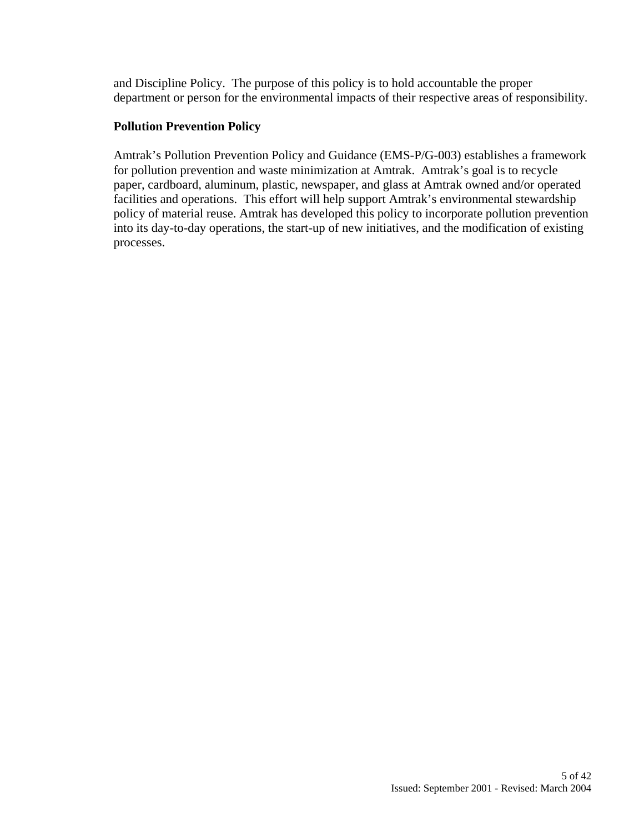and Discipline Policy. The purpose of this policy is to hold accountable the proper department or person for the environmental impacts of their respective areas of responsibility.

### **Pollution Prevention Policy**

Amtrak's Pollution Prevention Policy and Guidance (EMS-P/G-003) establishes a framework for pollution prevention and waste minimization at Amtrak. Amtrak's goal is to recycle paper, cardboard, aluminum, plastic, newspaper, and glass at Amtrak owned and/or operated facilities and operations. This effort will help support Amtrak's environmental stewardship policy of material reuse. Amtrak has developed this policy to incorporate pollution prevention into its day-to-day operations, the start-up of new initiatives, and the modification of existing processes.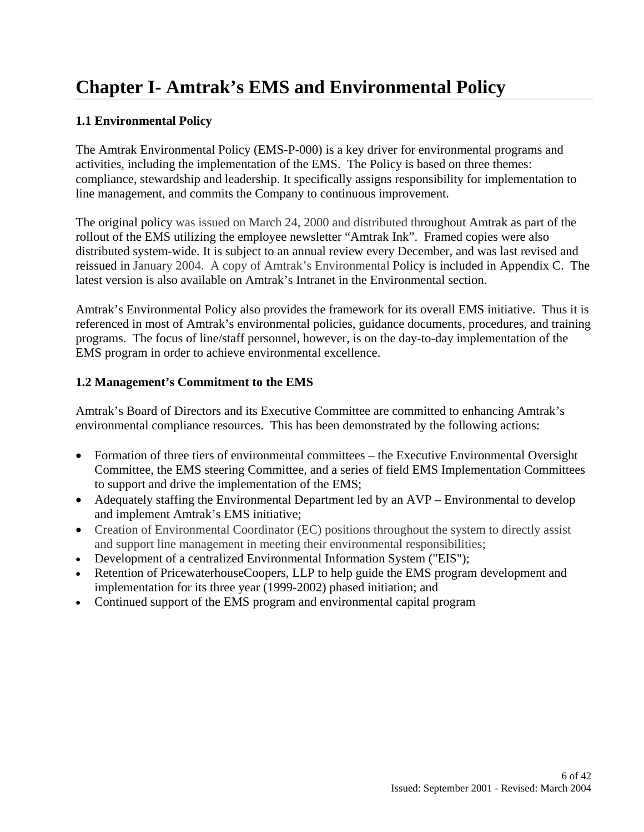# **Chapter I- Amtrak's EMS and Environmental Policy**

### **1.1 Environmental Policy**

The Amtrak Environmental Policy (EMS-P-000) is a key driver for environmental programs and activities, including the implementation of the EMS. The Policy is based on three themes: compliance, stewardship and leadership. It specifically assigns responsibility for implementation to line management, and commits the Company to continuous improvement.

The original policy was issued on March 24, 2000 and distributed throughout Amtrak as part of the rollout of the EMS utilizing the employee newsletter "Amtrak Ink". Framed copies were also distributed system-wide. It is subject to an annual review every December, and was last revised and reissued in January 2004. A copy of Amtrak's Environmental Policy is included in Appendix C. The latest version is also available on Amtrak's Intranet in the Environmental section.

Amtrak's Environmental Policy also provides the framework for its overall EMS initiative. Thus it is referenced in most of Amtrak's environmental policies, guidance documents, procedures, and training programs. The focus of line/staff personnel, however, is on the day-to-day implementation of the EMS program in order to achieve environmental excellence.

### **1.2 Management's Commitment to the EMS**

Amtrak's Board of Directors and its Executive Committee are committed to enhancing Amtrak's environmental compliance resources. This has been demonstrated by the following actions:

- Formation of three tiers of environmental committees the Executive Environmental Oversight Committee, the EMS steering Committee, and a series of field EMS Implementation Committees to support and drive the implementation of the EMS;
- Adequately staffing the Environmental Department led by an AVP Environmental to develop and implement Amtrak's EMS initiative;
- Creation of Environmental Coordinator (EC) positions throughout the system to directly assist and support line management in meeting their environmental responsibilities;
- Development of a centralized Environmental Information System ("EIS");
- Retention of PricewaterhouseCoopers, LLP to help guide the EMS program development and implementation for its three year (1999-2002) phased initiation; and
- Continued support of the EMS program and environmental capital program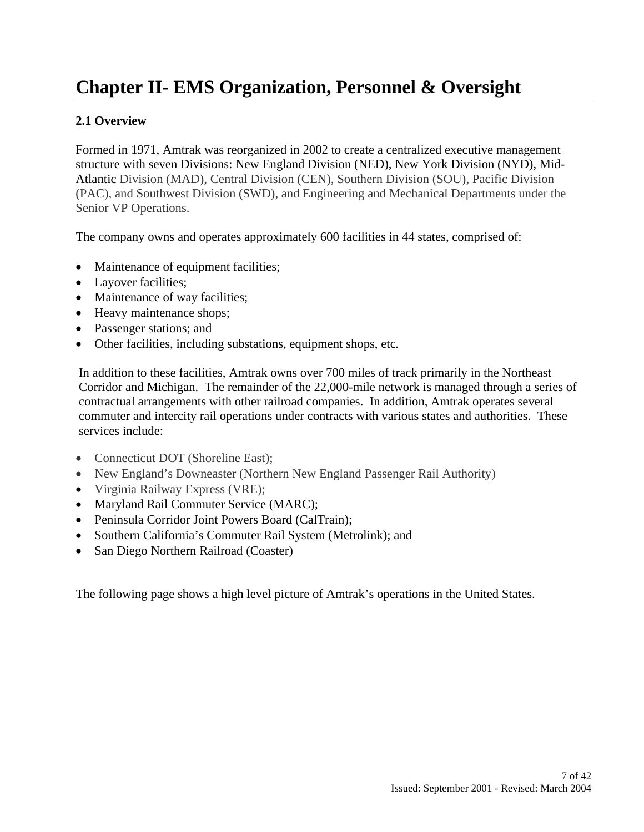# **Chapter II- EMS Organization, Personnel & Oversight**

### **2.1 Overview**

Formed in 1971, Amtrak was reorganized in 2002 to create a centralized executive management structure with seven Divisions: New England Division (NED), New York Division (NYD), Mid-Atlantic Division (MAD), Central Division (CEN), Southern Division (SOU), Pacific Division (PAC), and Southwest Division (SWD), and Engineering and Mechanical Departments under the Senior VP Operations.

The company owns and operates approximately 600 facilities in 44 states, comprised of:

- Maintenance of equipment facilities;
- Layover facilities;
- Maintenance of way facilities;
- Heavy maintenance shops;
- Passenger stations; and
- Other facilities, including substations, equipment shops, etc*.*

In addition to these facilities, Amtrak owns over 700 miles of track primarily in the Northeast Corridor and Michigan. The remainder of the 22,000-mile network is managed through a series of contractual arrangements with other railroad companies. In addition, Amtrak operates several commuter and intercity rail operations under contracts with various states and authorities. These services include:

- Connecticut DOT (Shoreline East);
- New England's Downeaster (Northern New England Passenger Rail Authority)
- Virginia Railway Express (VRE);
- Maryland Rail Commuter Service (MARC);
- Peninsula Corridor Joint Powers Board (CalTrain);
- Southern California's Commuter Rail System (Metrolink); and
- San Diego Northern Railroad (Coaster)

The following page shows a high level picture of Amtrak's operations in the United States.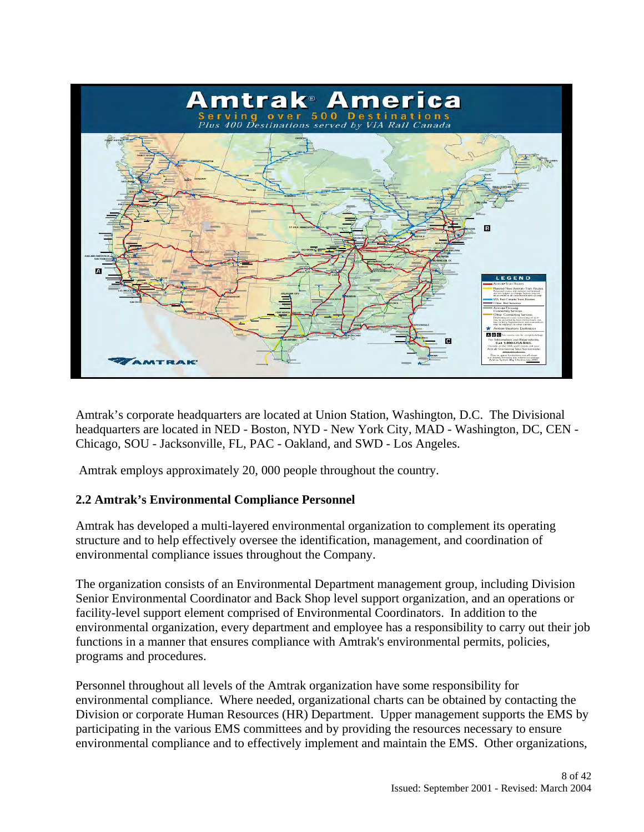

Amtrak's corporate headquarters are located at Union Station, Washington, D.C. The Divisional headquarters are located in NED - Boston, NYD - New York City, MAD - Washington, DC, CEN - Chicago, SOU - Jacksonville, FL, PAC - Oakland, and SWD - Los Angeles.

Amtrak employs approximately 20, 000 people throughout the country.

### **2.2 Amtrak's Environmental Compliance Personnel**

Amtrak has developed a multi-layered environmental organization to complement its operating structure and to help effectively oversee the identification, management, and coordination of environmental compliance issues throughout the Company.

The organization consists of an Environmental Department management group, including Division Senior Environmental Coordinator and Back Shop level support organization, and an operations or facility-level support element comprised of Environmental Coordinators. In addition to the environmental organization, every department and employee has a responsibility to carry out their job functions in a manner that ensures compliance with Amtrak's environmental permits, policies, programs and procedures.

Personnel throughout all levels of the Amtrak organization have some responsibility for environmental compliance. Where needed, organizational charts can be obtained by contacting the Division or corporate Human Resources (HR) Department. Upper management supports the EMS by participating in the various EMS committees and by providing the resources necessary to ensure environmental compliance and to effectively implement and maintain the EMS. Other organizations,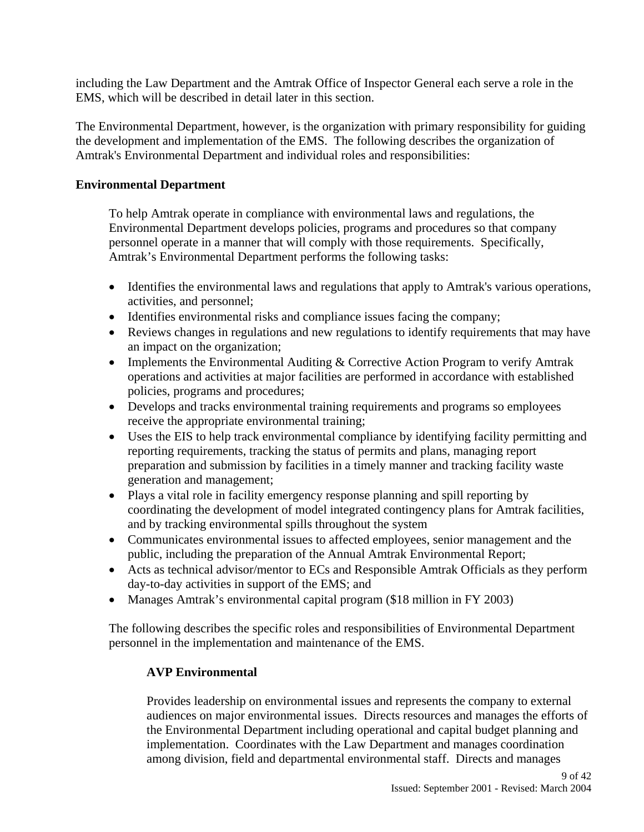including the Law Department and the Amtrak Office of Inspector General each serve a role in the EMS, which will be described in detail later in this section.

The Environmental Department, however, is the organization with primary responsibility for guiding the development and implementation of the EMS. The following describes the organization of Amtrak's Environmental Department and individual roles and responsibilities:

### **Environmental Department**

To help Amtrak operate in compliance with environmental laws and regulations, the Environmental Department develops policies, programs and procedures so that company personnel operate in a manner that will comply with those requirements. Specifically, Amtrak's Environmental Department performs the following tasks:

- Identifies the environmental laws and regulations that apply to Amtrak's various operations, activities, and personnel;
- Identifies environmental risks and compliance issues facing the company;
- Reviews changes in regulations and new regulations to identify requirements that may have an impact on the organization;
- Implements the Environmental Auditing & Corrective Action Program to verify Amtrak operations and activities at major facilities are performed in accordance with established policies, programs and procedures;
- Develops and tracks environmental training requirements and programs so employees receive the appropriate environmental training;
- Uses the EIS to help track environmental compliance by identifying facility permitting and reporting requirements, tracking the status of permits and plans, managing report preparation and submission by facilities in a timely manner and tracking facility waste generation and management;
- Plays a vital role in facility emergency response planning and spill reporting by coordinating the development of model integrated contingency plans for Amtrak facilities, and by tracking environmental spills throughout the system
- Communicates environmental issues to affected employees, senior management and the public, including the preparation of the Annual Amtrak Environmental Report;
- Acts as technical advisor/mentor to ECs and Responsible Amtrak Officials as they perform day-to-day activities in support of the EMS; and
- Manages Amtrak's environmental capital program (\$18 million in FY 2003)

The following describes the specific roles and responsibilities of Environmental Department personnel in the implementation and maintenance of the EMS.

### **AVP Environmental**

Provides leadership on environmental issues and represents the company to external audiences on major environmental issues. Directs resources and manages the efforts of the Environmental Department including operational and capital budget planning and implementation. Coordinates with the Law Department and manages coordination among division, field and departmental environmental staff. Directs and manages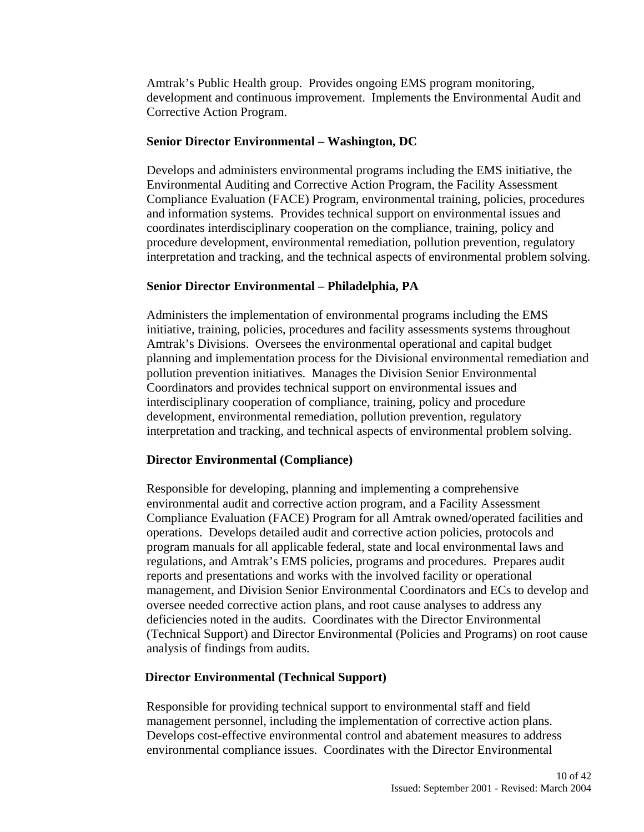Amtrak's Public Health group. Provides ongoing EMS program monitoring, development and continuous improvement. Implements the Environmental Audit and Corrective Action Program.

### **Senior Director Environmental – Washington, DC**

Develops and administers environmental programs including the EMS initiative, the Environmental Auditing and Corrective Action Program, the Facility Assessment Compliance Evaluation (FACE) Program, environmental training, policies, procedures and information systems. Provides technical support on environmental issues and coordinates interdisciplinary cooperation on the compliance, training, policy and procedure development, environmental remediation, pollution prevention, regulatory interpretation and tracking, and the technical aspects of environmental problem solving.

### **Senior Director Environmental – Philadelphia, PA**

Administers the implementation of environmental programs including the EMS initiative, training, policies, procedures and facility assessments systems throughout Amtrak's Divisions. Oversees the environmental operational and capital budget planning and implementation process for the Divisional environmental remediation and pollution prevention initiatives. Manages the Division Senior Environmental Coordinators and provides technical support on environmental issues and interdisciplinary cooperation of compliance, training, policy and procedure development, environmental remediation, pollution prevention, regulatory interpretation and tracking, and technical aspects of environmental problem solving.

### **Director Environmental (Compliance)**

Responsible for developing, planning and implementing a comprehensive environmental audit and corrective action program, and a Facility Assessment Compliance Evaluation (FACE) Program for all Amtrak owned/operated facilities and operations. Develops detailed audit and corrective action policies, protocols and program manuals for all applicable federal, state and local environmental laws and regulations, and Amtrak's EMS policies, programs and procedures. Prepares audit reports and presentations and works with the involved facility or operational management, and Division Senior Environmental Coordinators and ECs to develop and oversee needed corrective action plans, and root cause analyses to address any deficiencies noted in the audits. Coordinates with the Director Environmental (Technical Support) and Director Environmental (Policies and Programs) on root cause analysis of findings from audits.

### **Director Environmental (Technical Support)**

Responsible for providing technical support to environmental staff and field management personnel, including the implementation of corrective action plans. Develops cost-effective environmental control and abatement measures to address environmental compliance issues. Coordinates with the Director Environmental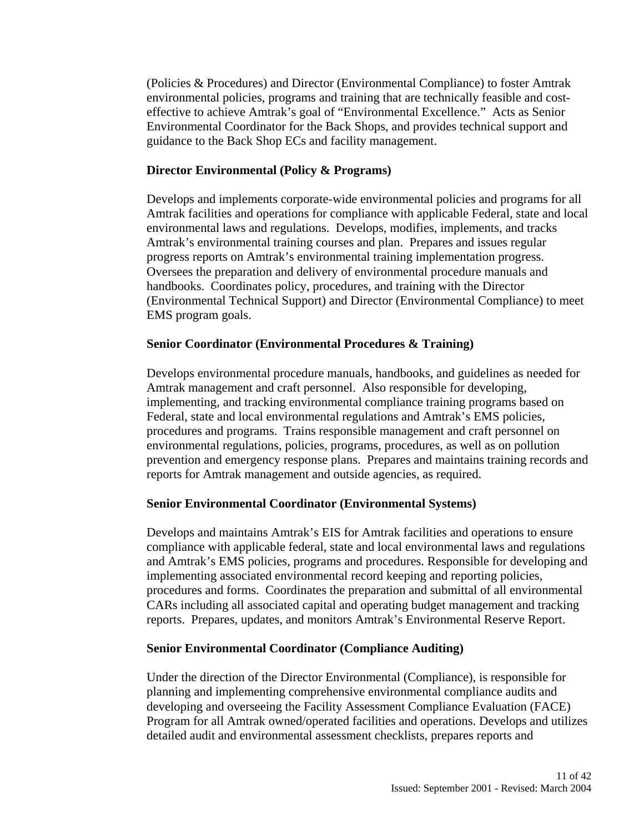(Policies & Procedures) and Director (Environmental Compliance) to foster Amtrak environmental policies, programs and training that are technically feasible and costeffective to achieve Amtrak's goal of "Environmental Excellence." Acts as Senior Environmental Coordinator for the Back Shops, and provides technical support and guidance to the Back Shop ECs and facility management.

### **Director Environmental (Policy & Programs)**

Develops and implements corporate-wide environmental policies and programs for all Amtrak facilities and operations for compliance with applicable Federal, state and local environmental laws and regulations. Develops, modifies, implements, and tracks Amtrak's environmental training courses and plan. Prepares and issues regular progress reports on Amtrak's environmental training implementation progress. Oversees the preparation and delivery of environmental procedure manuals and handbooks. Coordinates policy, procedures, and training with the Director (Environmental Technical Support) and Director (Environmental Compliance) to meet EMS program goals.

### **Senior Coordinator (Environmental Procedures & Training)**

Develops environmental procedure manuals, handbooks, and guidelines as needed for Amtrak management and craft personnel. Also responsible for developing, implementing, and tracking environmental compliance training programs based on Federal, state and local environmental regulations and Amtrak's EMS policies, procedures and programs. Trains responsible management and craft personnel on environmental regulations, policies, programs, procedures, as well as on pollution prevention and emergency response plans. Prepares and maintains training records and reports for Amtrak management and outside agencies, as required.

### **Senior Environmental Coordinator (Environmental Systems)**

Develops and maintains Amtrak's EIS for Amtrak facilities and operations to ensure compliance with applicable federal, state and local environmental laws and regulations and Amtrak's EMS policies, programs and procedures. Responsible for developing and implementing associated environmental record keeping and reporting policies, procedures and forms. Coordinates the preparation and submittal of all environmental CARs including all associated capital and operating budget management and tracking reports. Prepares, updates, and monitors Amtrak's Environmental Reserve Report.

### **Senior Environmental Coordinator (Compliance Auditing)**

Under the direction of the Director Environmental (Compliance), is responsible for planning and implementing comprehensive environmental compliance audits and developing and overseeing the Facility Assessment Compliance Evaluation (FACE) Program for all Amtrak owned/operated facilities and operations. Develops and utilizes detailed audit and environmental assessment checklists, prepares reports and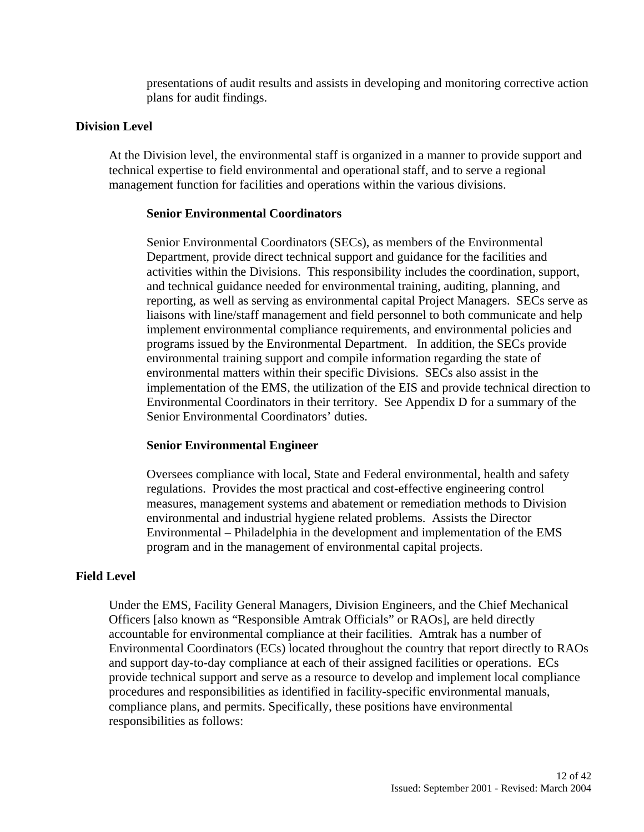presentations of audit results and assists in developing and monitoring corrective action plans for audit findings.

### **Division Level**

At the Division level, the environmental staff is organized in a manner to provide support and technical expertise to field environmental and operational staff, and to serve a regional management function for facilities and operations within the various divisions.

### **Senior Environmental Coordinators**

Senior Environmental Coordinators (SECs), as members of the Environmental Department, provide direct technical support and guidance for the facilities and activities within the Divisions. This responsibility includes the coordination, support, and technical guidance needed for environmental training, auditing, planning, and reporting, as well as serving as environmental capital Project Managers. SECs serve as liaisons with line/staff management and field personnel to both communicate and help implement environmental compliance requirements, and environmental policies and programs issued by the Environmental Department. In addition, the SECs provide environmental training support and compile information regarding the state of environmental matters within their specific Divisions. SECs also assist in the implementation of the EMS, the utilization of the EIS and provide technical direction to Environmental Coordinators in their territory. See Appendix D for a summary of the Senior Environmental Coordinators' duties.

### **Senior Environmental Engineer**

Oversees compliance with local, State and Federal environmental, health and safety regulations. Provides the most practical and cost-effective engineering control measures, management systems and abatement or remediation methods to Division environmental and industrial hygiene related problems. Assists the Director Environmental – Philadelphia in the development and implementation of the EMS program and in the management of environmental capital projects.

### **Field Level**

Under the EMS, Facility General Managers, Division Engineers, and the Chief Mechanical Officers [also known as "Responsible Amtrak Officials" or RAOs], are held directly accountable for environmental compliance at their facilities. Amtrak has a number of Environmental Coordinators (ECs) located throughout the country that report directly to RAOs and support day-to-day compliance at each of their assigned facilities or operations. ECs provide technical support and serve as a resource to develop and implement local compliance procedures and responsibilities as identified in facility-specific environmental manuals, compliance plans, and permits. Specifically, these positions have environmental responsibilities as follows: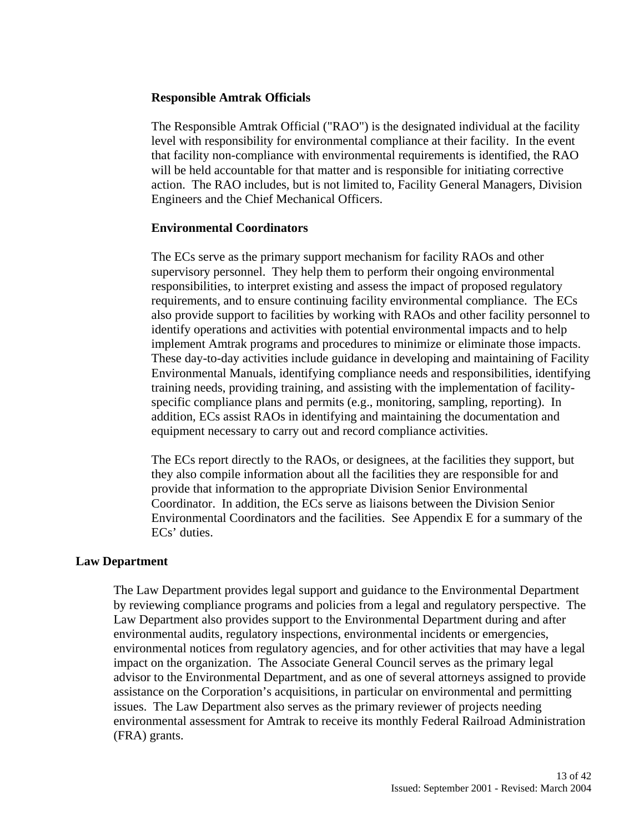### **Responsible Amtrak Officials**

The Responsible Amtrak Official ("RAO") is the designated individual at the facility level with responsibility for environmental compliance at their facility. In the event that facility non-compliance with environmental requirements is identified, the RAO will be held accountable for that matter and is responsible for initiating corrective action.The RAO includes, but is not limited to, Facility General Managers, Division Engineers and the Chief Mechanical Officers.

### **Environmental Coordinators**

The ECs serve as the primary support mechanism for facility RAOs and other supervisory personnel. They help them to perform their ongoing environmental responsibilities, to interpret existing and assess the impact of proposed regulatory requirements, and to ensure continuing facility environmental compliance. The ECs also provide support to facilities by working with RAOs and other facility personnel to identify operations and activities with potential environmental impacts and to help implement Amtrak programs and procedures to minimize or eliminate those impacts. These day-to-day activities include guidance in developing and maintaining of Facility Environmental Manuals, identifying compliance needs and responsibilities, identifying training needs, providing training, and assisting with the implementation of facilityspecific compliance plans and permits (e.g., monitoring, sampling, reporting). In addition, ECs assist RAOs in identifying and maintaining the documentation and equipment necessary to carry out and record compliance activities.

The ECs report directly to the RAOs, or designees, at the facilities they support, but they also compile information about all the facilities they are responsible for and provide that information to the appropriate Division Senior Environmental Coordinator. In addition, the ECs serve as liaisons between the Division Senior Environmental Coordinators and the facilities. See Appendix E for a summary of the ECs' duties.

### **Law Department**

The Law Department provides legal support and guidance to the Environmental Department by reviewing compliance programs and policies from a legal and regulatory perspective. The Law Department also provides support to the Environmental Department during and after environmental audits, regulatory inspections, environmental incidents or emergencies, environmental notices from regulatory agencies, and for other activities that may have a legal impact on the organization. The Associate General Council serves as the primary legal advisor to the Environmental Department, and as one of several attorneys assigned to provide assistance on the Corporation's acquisitions, in particular on environmental and permitting issues. The Law Department also serves as the primary reviewer of projects needing environmental assessment for Amtrak to receive its monthly Federal Railroad Administration (FRA) grants.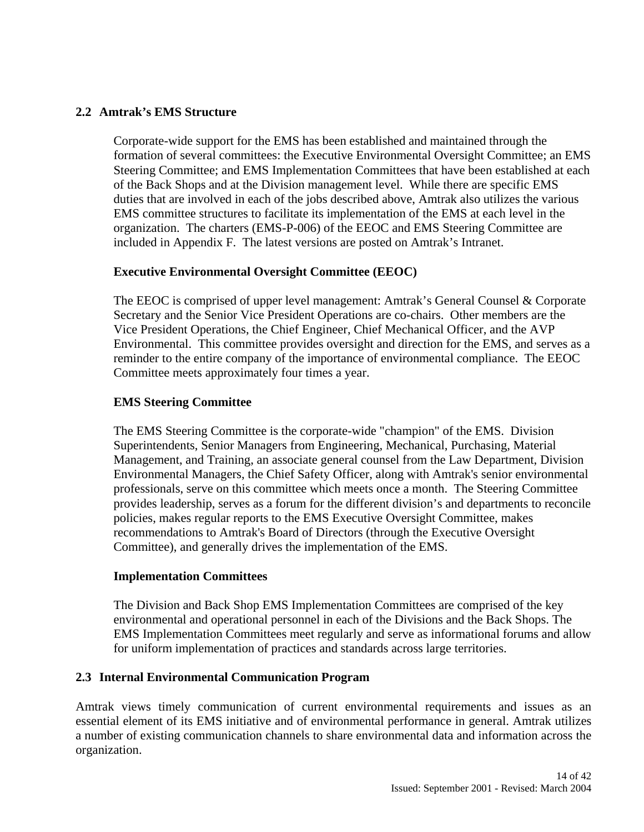### **2.2 Amtrak's EMS Structure**

Corporate-wide support for the EMS has been established and maintained through the formation of several committees: the Executive Environmental Oversight Committee; an EMS Steering Committee; and EMS Implementation Committees that have been established at each of the Back Shops and at the Division management level. While there are specific EMS duties that are involved in each of the jobs described above, Amtrak also utilizes the various EMS committee structures to facilitate its implementation of the EMS at each level in the organization. The charters (EMS-P-006) of the EEOC and EMS Steering Committee are included in Appendix F. The latest versions are posted on Amtrak's Intranet.

### **Executive Environmental Oversight Committee (EEOC)**

The EEOC is comprised of upper level management: Amtrak's General Counsel & Corporate Secretary and the Senior Vice President Operations are co-chairs. Other members are the Vice President Operations, the Chief Engineer, Chief Mechanical Officer, and the AVP Environmental. This committee provides oversight and direction for the EMS, and serves as a reminder to the entire company of the importance of environmental compliance. The EEOC Committee meets approximately four times a year.

### **EMS Steering Committee**

The EMS Steering Committee is the corporate-wide "champion" of the EMS. Division Superintendents, Senior Managers from Engineering, Mechanical, Purchasing, Material Management, and Training, an associate general counsel from the Law Department, Division Environmental Managers, the Chief Safety Officer, along with Amtrak's senior environmental professionals, serve on this committee which meets once a month. The Steering Committee provides leadership, serves as a forum for the different division's and departments to reconcile policies, makes regular reports to the EMS Executive Oversight Committee, makes recommendations to Amtrak's Board of Directors (through the Executive Oversight Committee), and generally drives the implementation of the EMS.

### **Implementation Committees**

The Division and Back Shop EMS Implementation Committees are comprised of the key environmental and operational personnel in each of the Divisions and the Back Shops. The EMS Implementation Committees meet regularly and serve as informational forums and allow for uniform implementation of practices and standards across large territories.

### **2.3 Internal Environmental Communication Program**

Amtrak views timely communication of current environmental requirements and issues as an essential element of its EMS initiative and of environmental performance in general. Amtrak utilizes a number of existing communication channels to share environmental data and information across the organization.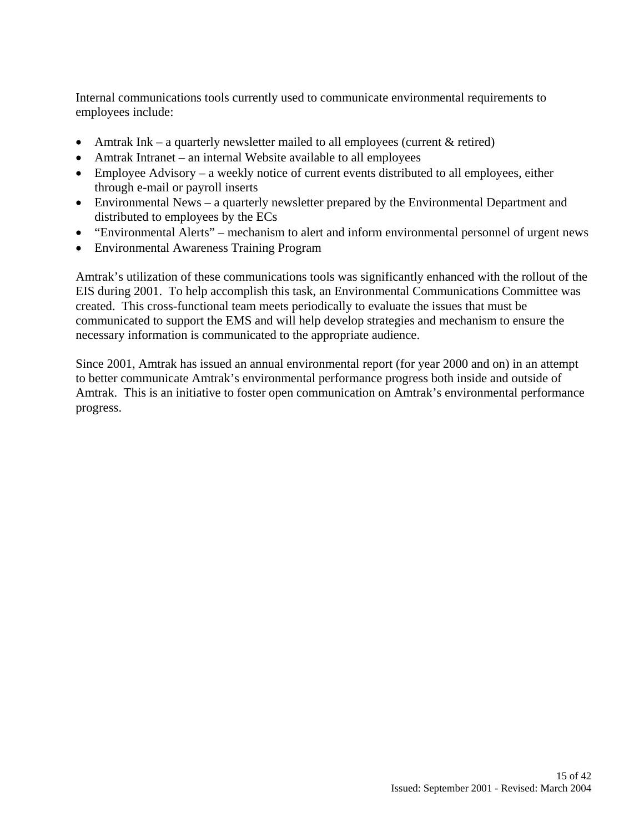Internal communications tools currently used to communicate environmental requirements to employees include:

- Amtrak Ink a quarterly newsletter mailed to all employees (current  $&$  retired)
- Amtrak Intranet an internal Website available to all employees
- Employee Advisory a weekly notice of current events distributed to all employees, either through e-mail or payroll inserts
- Environmental News a quarterly newsletter prepared by the Environmental Department and distributed to employees by the ECs
- "Environmental Alerts" mechanism to alert and inform environmental personnel of urgent news
- Environmental Awareness Training Program

Amtrak's utilization of these communications tools was significantly enhanced with the rollout of the EIS during 2001. To help accomplish this task, an Environmental Communications Committee was created. This cross-functional team meets periodically to evaluate the issues that must be communicated to support the EMS and will help develop strategies and mechanism to ensure the necessary information is communicated to the appropriate audience.

Since 2001, Amtrak has issued an annual environmental report (for year 2000 and on) in an attempt to better communicate Amtrak's environmental performance progress both inside and outside of Amtrak. This is an initiative to foster open communication on Amtrak's environmental performance progress.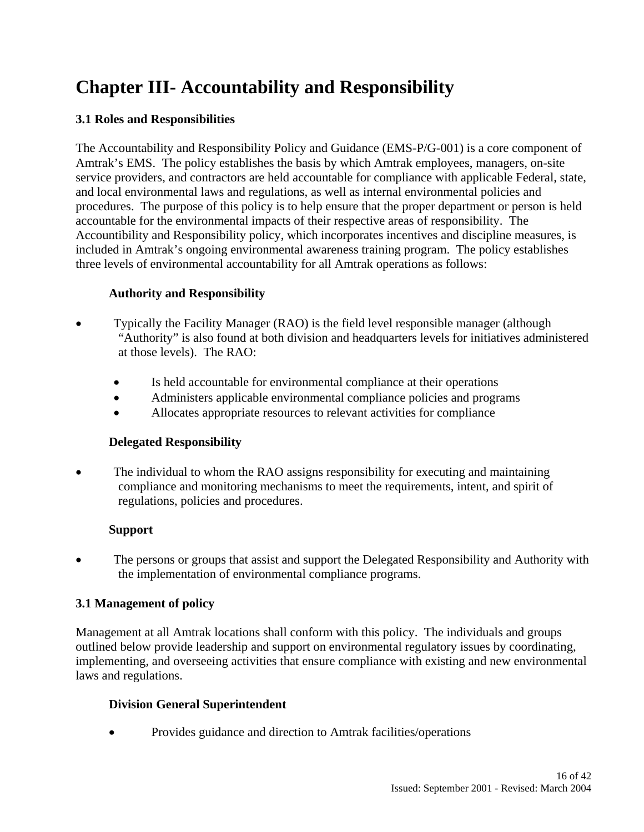# **Chapter III- Accountability and Responsibility**

### **3.1 Roles and Responsibilities**

The Accountability and Responsibility Policy and Guidance (EMS-P/G-001) is a core component of Amtrak's EMS. The policy establishes the basis by which Amtrak employees, managers, on-site service providers, and contractors are held accountable for compliance with applicable Federal, state, and local environmental laws and regulations, as well as internal environmental policies and procedures. The purpose of this policy is to help ensure that the proper department or person is held accountable for the environmental impacts of their respective areas of responsibility. The Accountibility and Responsibility policy, which incorporates incentives and discipline measures, is included in Amtrak's ongoing environmental awareness training program. The policy establishes three levels of environmental accountability for all Amtrak operations as follows:

### **Authority and Responsibility**

- Typically the Facility Manager (RAO) is the field level responsible manager (although "Authority" is also found at both division and headquarters levels for initiatives administered at those levels). The RAO:
	- Is held accountable for environmental compliance at their operations
	- Administers applicable environmental compliance policies and programs
	- Allocates appropriate resources to relevant activities for compliance

### **Delegated Responsibility**

• The individual to whom the RAO assigns responsibility for executing and maintaining compliance and monitoring mechanisms to meet the requirements, intent, and spirit of regulations, policies and procedures.

### **Support**

• The persons or groups that assist and support the Delegated Responsibility and Authority with the implementation of environmental compliance programs.

### **3.1 Management of policy**

Management at all Amtrak locations shall conform with this policy. The individuals and groups outlined below provide leadership and support on environmental regulatory issues by coordinating, implementing, and overseeing activities that ensure compliance with existing and new environmental laws and regulations.

### **Division General Superintendent**

• Provides guidance and direction to Amtrak facilities/operations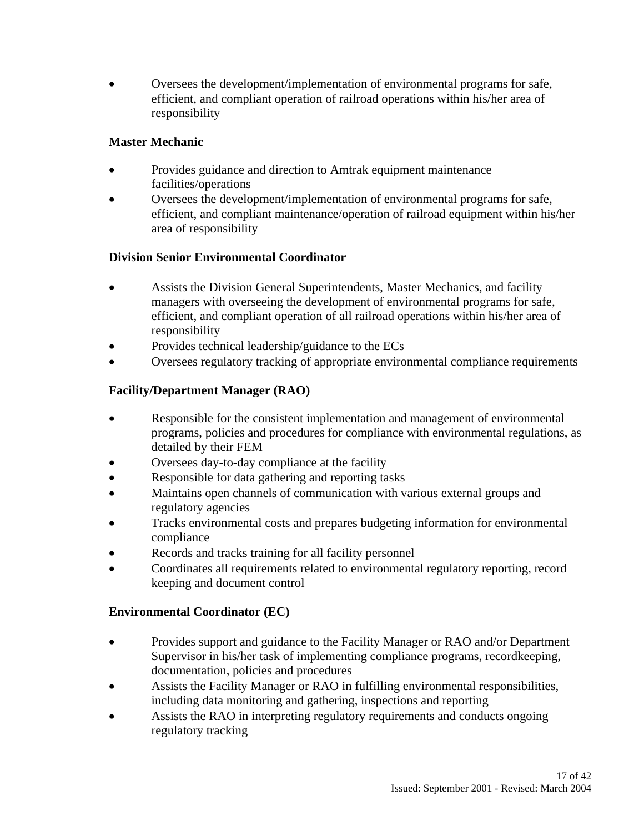• Oversees the development/implementation of environmental programs for safe, efficient, and compliant operation of railroad operations within his/her area of responsibility

### **Master Mechanic**

- Provides guidance and direction to Amtrak equipment maintenance facilities/operations
- Oversees the development/implementation of environmental programs for safe, efficient, and compliant maintenance/operation of railroad equipment within his/her area of responsibility

### **Division Senior Environmental Coordinator**

- Assists the Division General Superintendents, Master Mechanics, and facility managers with overseeing the development of environmental programs for safe, efficient, and compliant operation of all railroad operations within his/her area of responsibility
- Provides technical leadership/guidance to the ECs
- Oversees regulatory tracking of appropriate environmental compliance requirements

### **Facility/Department Manager (RAO)**

- Responsible for the consistent implementation and management of environmental programs, policies and procedures for compliance with environmental regulations, as detailed by their FEM
- Oversees day-to-day compliance at the facility
- Responsible for data gathering and reporting tasks
- Maintains open channels of communication with various external groups and regulatory agencies
- Tracks environmental costs and prepares budgeting information for environmental compliance
- Records and tracks training for all facility personnel
- Coordinates all requirements related to environmental regulatory reporting, record keeping and document control

### **Environmental Coordinator (EC)**

- Provides support and guidance to the Facility Manager or RAO and/or Department Supervisor in his/her task of implementing compliance programs, recordkeeping, documentation, policies and procedures
- Assists the Facility Manager or RAO in fulfilling environmental responsibilities, including data monitoring and gathering, inspections and reporting
- Assists the RAO in interpreting regulatory requirements and conducts ongoing regulatory tracking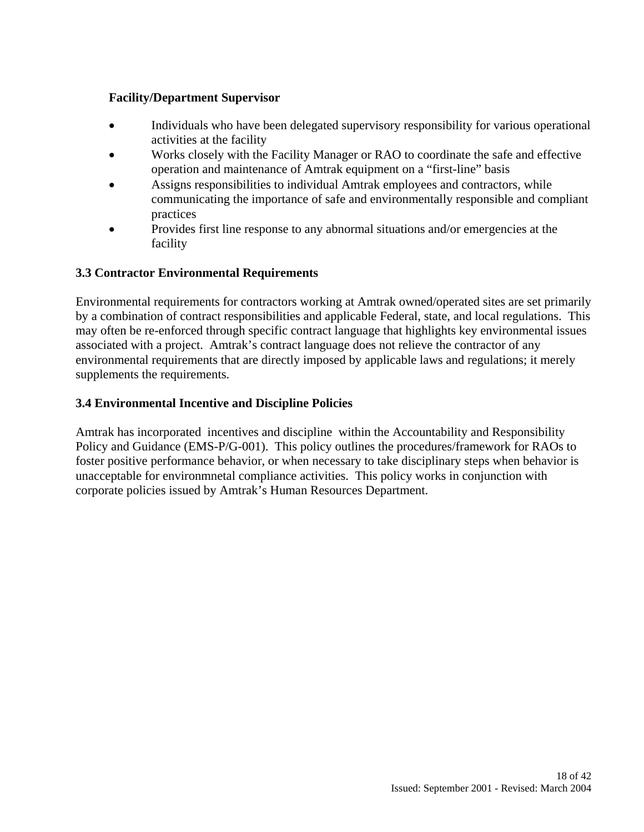### **Facility/Department Supervisor**

- Individuals who have been delegated supervisory responsibility for various operational activities at the facility
- Works closely with the Facility Manager or RAO to coordinate the safe and effective operation and maintenance of Amtrak equipment on a "first-line" basis
- Assigns responsibilities to individual Amtrak employees and contractors, while communicating the importance of safe and environmentally responsible and compliant practices
- Provides first line response to any abnormal situations and/or emergencies at the facility

### **3.3 Contractor Environmental Requirements**

Environmental requirements for contractors working at Amtrak owned/operated sites are set primarily by a combination of contract responsibilities and applicable Federal, state, and local regulations. This may often be re-enforced through specific contract language that highlights key environmental issues associated with a project. Amtrak's contract language does not relieve the contractor of any environmental requirements that are directly imposed by applicable laws and regulations; it merely supplements the requirements.

### **3.4 Environmental Incentive and Discipline Policies**

Amtrak has incorporated incentives and discipline within the Accountability and Responsibility Policy and Guidance (EMS-P/G-001). This policy outlines the procedures/framework for RAOs to foster positive performance behavior, or when necessary to take disciplinary steps when behavior is unacceptable for environmnetal compliance activities. This policy works in conjunction with corporate policies issued by Amtrak's Human Resources Department.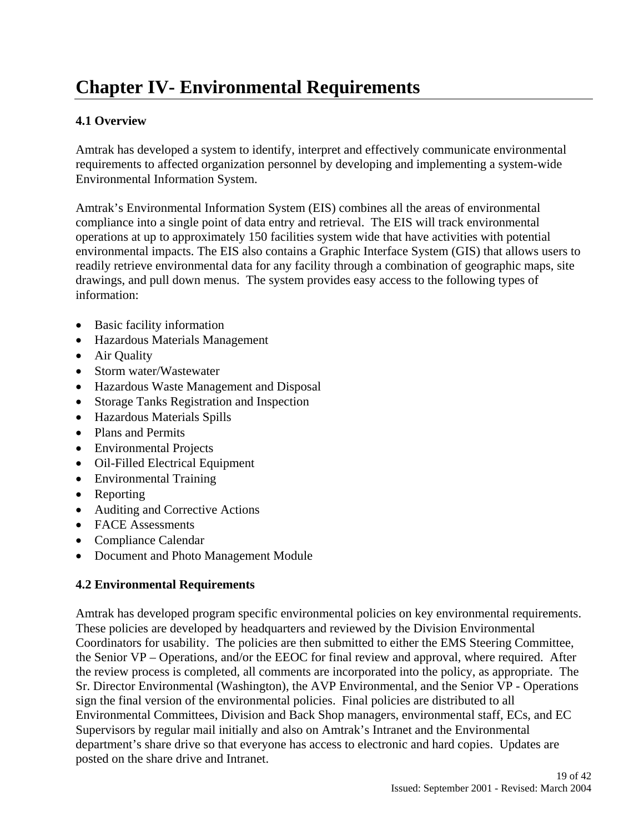# **Chapter IV- Environmental Requirements**

### **4.1 Overview**

Amtrak has developed a system to identify, interpret and effectively communicate environmental requirements to affected organization personnel by developing and implementing a system-wide Environmental Information System.

Amtrak's Environmental Information System (EIS) combines all the areas of environmental compliance into a single point of data entry and retrieval. The EIS will track environmental operations at up to approximately 150 facilities system wide that have activities with potential environmental impacts. The EIS also contains a Graphic Interface System (GIS) that allows users to readily retrieve environmental data for any facility through a combination of geographic maps, site drawings, and pull down menus. The system provides easy access to the following types of information:

- Basic facility information
- Hazardous Materials Management
- Air Quality
- Storm water/Wastewater
- Hazardous Waste Management and Disposal
- Storage Tanks Registration and Inspection
- Hazardous Materials Spills
- Plans and Permits
- Environmental Projects
- Oil-Filled Electrical Equipment
- Environmental Training
- Reporting
- Auditing and Corrective Actions
- FACE Assessments
- Compliance Calendar
- Document and Photo Management Module

### **4.2 Environmental Requirements**

Amtrak has developed program specific environmental policies on key environmental requirements. These policies are developed by headquarters and reviewed by the Division Environmental Coordinators for usability. The policies are then submitted to either the EMS Steering Committee, the Senior VP – Operations, and/or the EEOC for final review and approval, where required. After the review process is completed, all comments are incorporated into the policy, as appropriate. The Sr. Director Environmental (Washington), the AVP Environmental, and the Senior VP - Operations sign the final version of the environmental policies. Final policies are distributed to all Environmental Committees, Division and Back Shop managers, environmental staff, ECs, and EC Supervisors by regular mail initially and also on Amtrak's Intranet and the Environmental department's share drive so that everyone has access to electronic and hard copies. Updates are posted on the share drive and Intranet.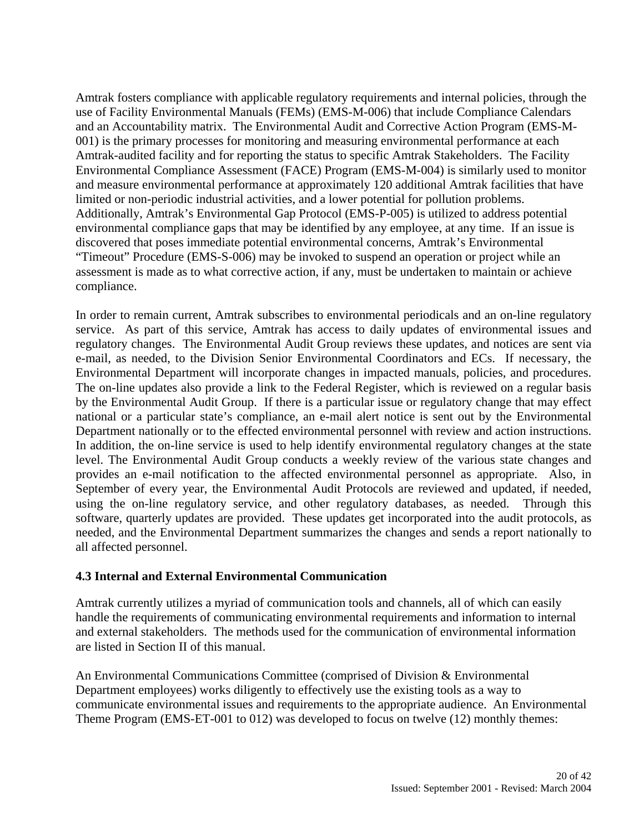Amtrak fosters compliance with applicable regulatory requirements and internal policies, through the use of Facility Environmental Manuals (FEMs) (EMS-M-006) that include Compliance Calendars and an Accountability matrix. The Environmental Audit and Corrective Action Program (EMS-M-001) is the primary processes for monitoring and measuring environmental performance at each Amtrak-audited facility and for reporting the status to specific Amtrak Stakeholders. The Facility Environmental Compliance Assessment (FACE) Program (EMS-M-004) is similarly used to monitor and measure environmental performance at approximately 120 additional Amtrak facilities that have limited or non-periodic industrial activities, and a lower potential for pollution problems. Additionally, Amtrak's Environmental Gap Protocol (EMS-P-005) is utilized to address potential environmental compliance gaps that may be identified by any employee, at any time. If an issue is discovered that poses immediate potential environmental concerns, Amtrak's Environmental "Timeout" Procedure (EMS-S-006) may be invoked to suspend an operation or project while an assessment is made as to what corrective action, if any, must be undertaken to maintain or achieve compliance.

In order to remain current, Amtrak subscribes to environmental periodicals and an on-line regulatory service. As part of this service, Amtrak has access to daily updates of environmental issues and regulatory changes. The Environmental Audit Group reviews these updates, and notices are sent via e-mail, as needed, to the Division Senior Environmental Coordinators and ECs. If necessary, the Environmental Department will incorporate changes in impacted manuals, policies, and procedures. The on-line updates also provide a link to the Federal Register, which is reviewed on a regular basis by the Environmental Audit Group. If there is a particular issue or regulatory change that may effect national or a particular state's compliance, an e-mail alert notice is sent out by the Environmental Department nationally or to the effected environmental personnel with review and action instructions. In addition, the on-line service is used to help identify environmental regulatory changes at the state level. The Environmental Audit Group conducts a weekly review of the various state changes and provides an e-mail notification to the affected environmental personnel as appropriate. Also, in September of every year, the Environmental Audit Protocols are reviewed and updated, if needed, using the on-line regulatory service, and other regulatory databases, as needed. Through this software, quarterly updates are provided. These updates get incorporated into the audit protocols, as needed, and the Environmental Department summarizes the changes and sends a report nationally to all affected personnel.

### **4.3 Internal and External Environmental Communication**

Amtrak currently utilizes a myriad of communication tools and channels, all of which can easily handle the requirements of communicating environmental requirements and information to internal and external stakeholders. The methods used for the communication of environmental information are listed in Section II of this manual.

An Environmental Communications Committee (comprised of Division & Environmental Department employees) works diligently to effectively use the existing tools as a way to communicate environmental issues and requirements to the appropriate audience. An Environmental Theme Program (EMS-ET-001 to 012) was developed to focus on twelve (12) monthly themes: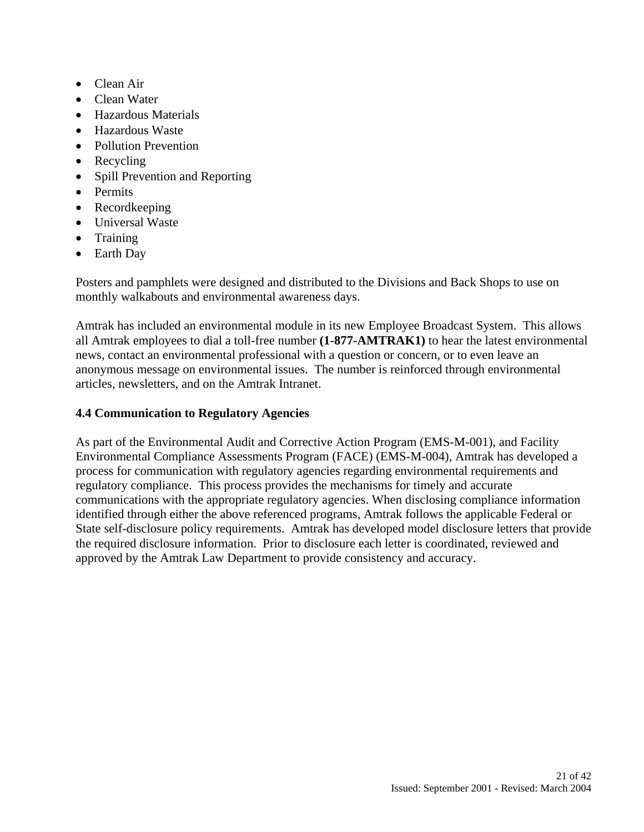- Clean Air
- Clean Water
- Hazardous Materials
- Hazardous Waste
- Pollution Prevention
- Recycling
- Spill Prevention and Reporting
- Permits
- Recordkeeping
- Universal Waste
- Training
- Earth Day

Posters and pamphlets were designed and distributed to the Divisions and Back Shops to use on monthly walkabouts and environmental awareness days.

Amtrak has included an environmental module in its new Employee Broadcast System. This allows all Amtrak employees to dial a toll-free number **(1-877-AMTRAK1)** to hear the latest environmental news, contact an environmental professional with a question or concern, or to even leave an anonymous message on environmental issues. The number is reinforced through environmental articles, newsletters, and on the Amtrak Intranet.

### **4.4 Communication to Regulatory Agencies**

As part of the Environmental Audit and Corrective Action Program (EMS-M-001), and Facility Environmental Compliance Assessments Program (FACE) (EMS-M-004), Amtrak has developed a process for communication with regulatory agencies regarding environmental requirements and regulatory compliance. This process provides the mechanisms for timely and accurate communications with the appropriate regulatory agencies. When disclosing compliance information identified through either the above referenced programs, Amtrak follows the applicable Federal or State self-disclosure policy requirements. Amtrak has developed model disclosure letters that provide the required disclosure information. Prior to disclosure each letter is coordinated, reviewed and approved by the Amtrak Law Department to provide consistency and accuracy.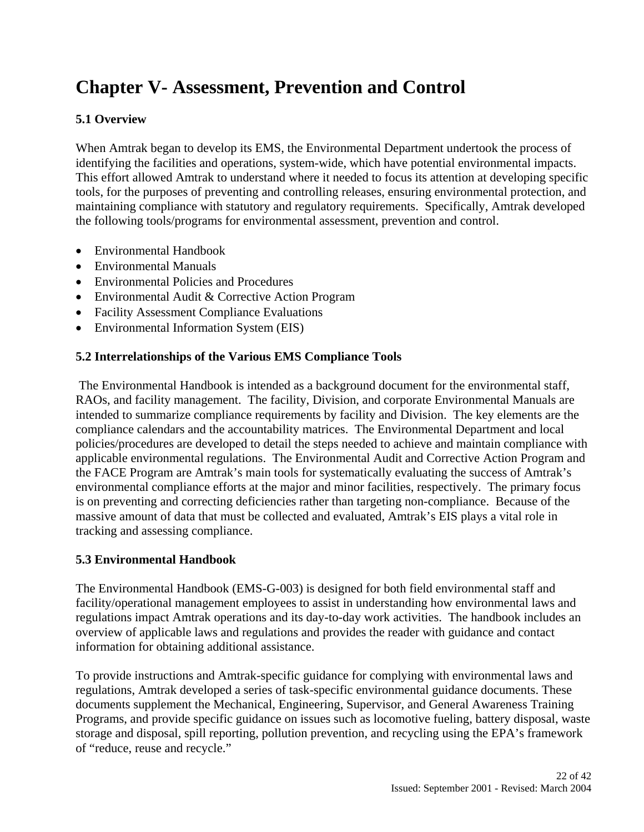# **Chapter V- Assessment, Prevention and Control**

### **5.1 Overview**

When Amtrak began to develop its EMS, the Environmental Department undertook the process of identifying the facilities and operations, system-wide, which have potential environmental impacts. This effort allowed Amtrak to understand where it needed to focus its attention at developing specific tools, for the purposes of preventing and controlling releases, ensuring environmental protection, and maintaining compliance with statutory and regulatory requirements. Specifically, Amtrak developed the following tools/programs for environmental assessment, prevention and control.

- Environmental Handbook
- Environmental Manuals
- Environmental Policies and Procedures
- Environmental Audit & Corrective Action Program
- Facility Assessment Compliance Evaluations
- Environmental Information System (EIS)

### **5.2 Interrelationships of the Various EMS Compliance Tools**

 The Environmental Handbook is intended as a background document for the environmental staff, RAOs, and facility management. The facility, Division, and corporate Environmental Manuals are intended to summarize compliance requirements by facility and Division. The key elements are the compliance calendars and the accountability matrices. The Environmental Department and local policies/procedures are developed to detail the steps needed to achieve and maintain compliance with applicable environmental regulations. The Environmental Audit and Corrective Action Program and the FACE Program are Amtrak's main tools for systematically evaluating the success of Amtrak's environmental compliance efforts at the major and minor facilities, respectively. The primary focus is on preventing and correcting deficiencies rather than targeting non-compliance. Because of the massive amount of data that must be collected and evaluated, Amtrak's EIS plays a vital role in tracking and assessing compliance.

### **5.3 Environmental Handbook**

The Environmental Handbook (EMS-G-003) is designed for both field environmental staff and facility/operational management employees to assist in understanding how environmental laws and regulations impact Amtrak operations and its day-to-day work activities. The handbook includes an overview of applicable laws and regulations and provides the reader with guidance and contact information for obtaining additional assistance.

To provide instructions and Amtrak-specific guidance for complying with environmental laws and regulations, Amtrak developed a series of task-specific environmental guidance documents. These documents supplement the Mechanical, Engineering, Supervisor, and General Awareness Training Programs, and provide specific guidance on issues such as locomotive fueling, battery disposal, waste storage and disposal, spill reporting, pollution prevention, and recycling using the EPA's framework of "reduce, reuse and recycle."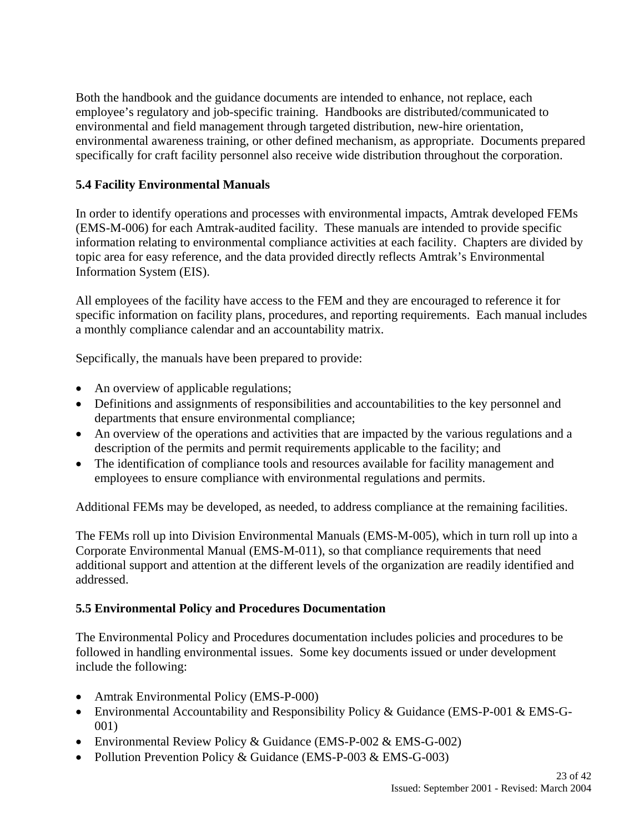Both the handbook and the guidance documents are intended to enhance, not replace, each employee's regulatory and job-specific training. Handbooks are distributed/communicated to environmental and field management through targeted distribution, new-hire orientation, environmental awareness training, or other defined mechanism, as appropriate. Documents prepared specifically for craft facility personnel also receive wide distribution throughout the corporation.

### **5.4 Facility Environmental Manuals**

In order to identify operations and processes with environmental impacts, Amtrak developed FEMs (EMS-M-006) for each Amtrak-audited facility. These manuals are intended to provide specific information relating to environmental compliance activities at each facility. Chapters are divided by topic area for easy reference, and the data provided directly reflects Amtrak's Environmental Information System (EIS).

All employees of the facility have access to the FEM and they are encouraged to reference it for specific information on facility plans, procedures, and reporting requirements. Each manual includes a monthly compliance calendar and an accountability matrix.

Sepcifically, the manuals have been prepared to provide:

- An overview of applicable regulations;
- Definitions and assignments of responsibilities and accountabilities to the key personnel and departments that ensure environmental compliance;
- An overview of the operations and activities that are impacted by the various regulations and a description of the permits and permit requirements applicable to the facility; and
- The identification of compliance tools and resources available for facility management and employees to ensure compliance with environmental regulations and permits.

Additional FEMs may be developed, as needed, to address compliance at the remaining facilities.

The FEMs roll up into Division Environmental Manuals (EMS-M-005), which in turn roll up into a Corporate Environmental Manual (EMS-M-011), so that compliance requirements that need additional support and attention at the different levels of the organization are readily identified and addressed.

### **5.5 Environmental Policy and Procedures Documentation**

The Environmental Policy and Procedures documentation includes policies and procedures to be followed in handling environmental issues. Some key documents issued or under development include the following:

- Amtrak Environmental Policy (EMS-P-000)
- Environmental Accountability and Responsibility Policy & Guidance (EMS-P-001 & EMS-G-001)
- Environmental Review Policy & Guidance (EMS-P-002 & EMS-G-002)
- Pollution Prevention Policy & Guidance (EMS-P-003 & EMS-G-003)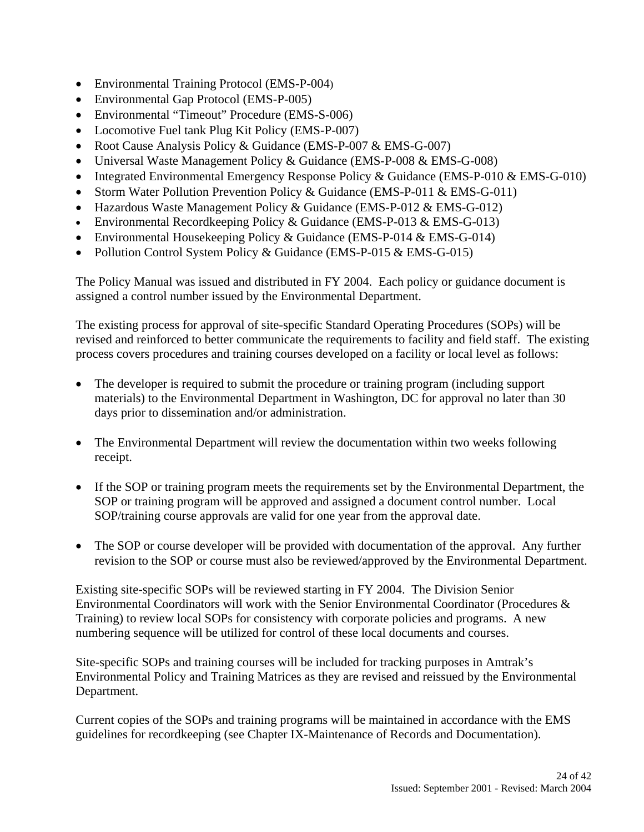- Environmental Training Protocol (EMS-P-004)
- Environmental Gap Protocol (EMS-P-005)
- Environmental "Timeout" Procedure (EMS-S-006)
- Locomotive Fuel tank Plug Kit Policy (EMS-P-007)
- Root Cause Analysis Policy & Guidance (EMS-P-007 & EMS-G-007)
- Universal Waste Management Policy & Guidance (EMS-P-008 & EMS-G-008)
- Integrated Environmental Emergency Response Policy & Guidance (EMS-P-010 & EMS-G-010)
- Storm Water Pollution Prevention Policy & Guidance (EMS-P-011 & EMS-G-011)
- Hazardous Waste Management Policy & Guidance (EMS-P-012 & EMS-G-012)
- Environmental Recordkeeping Policy & Guidance (EMS-P-013 & EMS-G-013)
- Environmental Housekeeping Policy & Guidance (EMS-P-014 & EMS-G-014)
- Pollution Control System Policy & Guidance (EMS-P-015 & EMS-G-015)

The Policy Manual was issued and distributed in FY 2004. Each policy or guidance document is assigned a control number issued by the Environmental Department.

The existing process for approval of site-specific Standard Operating Procedures (SOPs) will be revised and reinforced to better communicate the requirements to facility and field staff. The existing process covers procedures and training courses developed on a facility or local level as follows:

- The developer is required to submit the procedure or training program (including support materials) to the Environmental Department in Washington, DC for approval no later than 30 days prior to dissemination and/or administration.
- The Environmental Department will review the documentation within two weeks following receipt.
- If the SOP or training program meets the requirements set by the Environmental Department, the SOP or training program will be approved and assigned a document control number. Local SOP/training course approvals are valid for one year from the approval date.
- The SOP or course developer will be provided with documentation of the approval. Any further revision to the SOP or course must also be reviewed/approved by the Environmental Department.

Existing site-specific SOPs will be reviewed starting in FY 2004. The Division Senior Environmental Coordinators will work with the Senior Environmental Coordinator (Procedures & Training) to review local SOPs for consistency with corporate policies and programs. A new numbering sequence will be utilized for control of these local documents and courses.

Site-specific SOPs and training courses will be included for tracking purposes in Amtrak's Environmental Policy and Training Matrices as they are revised and reissued by the Environmental Department.

Current copies of the SOPs and training programs will be maintained in accordance with the EMS guidelines for recordkeeping (see Chapter IX-Maintenance of Records and Documentation).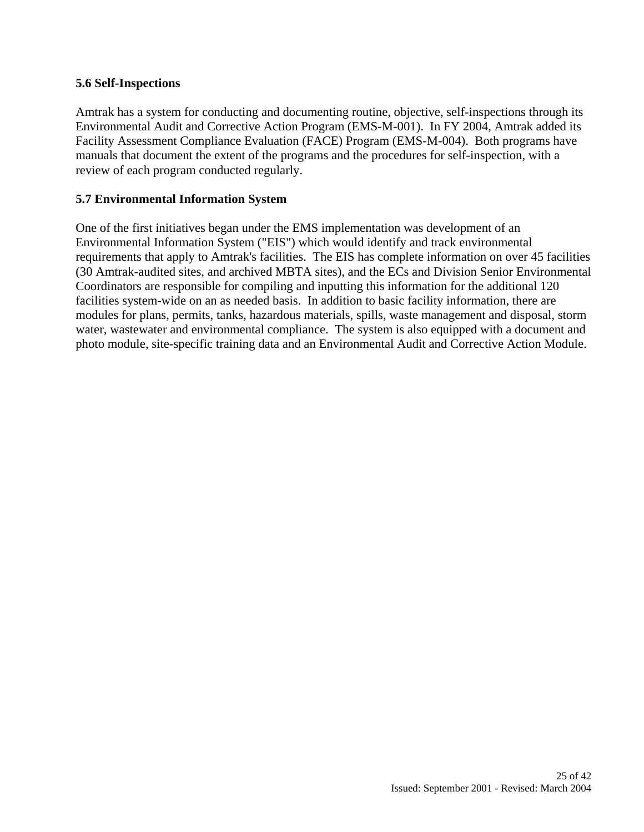### **5.6 Self-Inspections**

Amtrak has a system for conducting and documenting routine, objective, self-inspections through its Environmental Audit and Corrective Action Program (EMS-M-001). In FY 2004, Amtrak added its Facility Assessment Compliance Evaluation (FACE) Program (EMS-M-004). Both programs have manuals that document the extent of the programs and the procedures for self-inspection, with a review of each program conducted regularly.

### **5.7 Environmental Information System**

One of the first initiatives began under the EMS implementation was development of an Environmental Information System ("EIS") which would identify and track environmental requirements that apply to Amtrak's facilities. The EIS has complete information on over 45 facilities (30 Amtrak-audited sites, and archived MBTA sites), and the ECs and Division Senior Environmental Coordinators are responsible for compiling and inputting this information for the additional 120 facilities system-wide on an as needed basis. In addition to basic facility information, there are modules for plans, permits, tanks, hazardous materials, spills, waste management and disposal, storm water, wastewater and environmental compliance. The system is also equipped with a document and photo module, site-specific training data and an Environmental Audit and Corrective Action Module.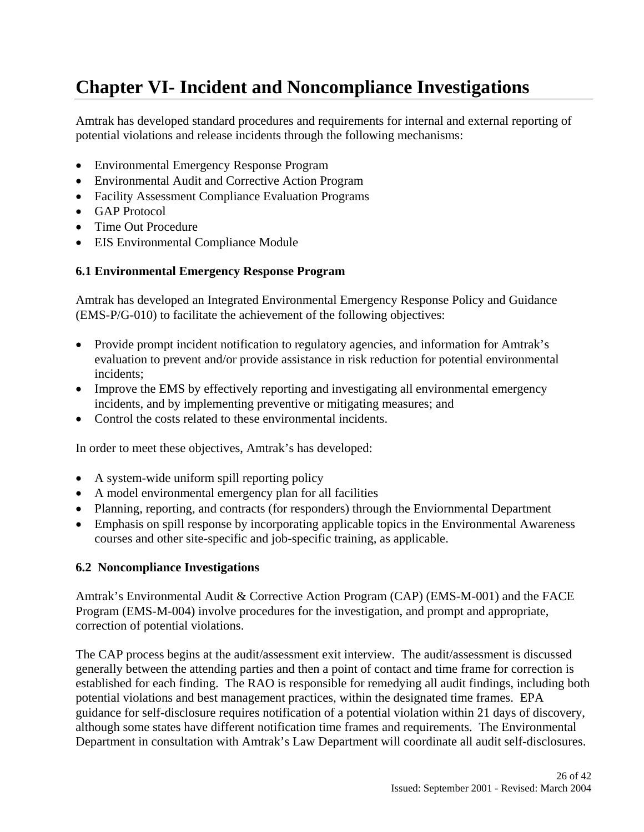# **Chapter VI- Incident and Noncompliance Investigations**

Amtrak has developed standard procedures and requirements for internal and external reporting of potential violations and release incidents through the following mechanisms:

- Environmental Emergency Response Program
- Environmental Audit and Corrective Action Program
- Facility Assessment Compliance Evaluation Programs
- GAP Protocol
- Time Out Procedure
- EIS Environmental Compliance Module

### **6.1 Environmental Emergency Response Program**

Amtrak has developed an Integrated Environmental Emergency Response Policy and Guidance (EMS-P/G-010) to facilitate the achievement of the following objectives:

- Provide prompt incident notification to regulatory agencies, and information for Amtrak's evaluation to prevent and/or provide assistance in risk reduction for potential environmental incidents;
- Improve the EMS by effectively reporting and investigating all environmental emergency incidents, and by implementing preventive or mitigating measures; and
- Control the costs related to these environmental incidents.

In order to meet these objectives, Amtrak's has developed:

- A system-wide uniform spill reporting policy
- A model environmental emergency plan for all facilities
- Planning, reporting, and contracts (for responders) through the Enviornmental Department
- Emphasis on spill response by incorporating applicable topics in the Environmental Awareness courses and other site-specific and job-specific training, as applicable.

### **6.2 Noncompliance Investigations**

Amtrak's Environmental Audit & Corrective Action Program (CAP) (EMS-M-001) and the FACE Program (EMS-M-004) involve procedures for the investigation, and prompt and appropriate, correction of potential violations.

The CAP process begins at the audit/assessment exit interview. The audit/assessment is discussed generally between the attending parties and then a point of contact and time frame for correction is established for each finding. The RAO is responsible for remedying all audit findings, including both potential violations and best management practices, within the designated time frames. EPA guidance for self-disclosure requires notification of a potential violation within 21 days of discovery, although some states have different notification time frames and requirements. The Environmental Department in consultation with Amtrak's Law Department will coordinate all audit self-disclosures.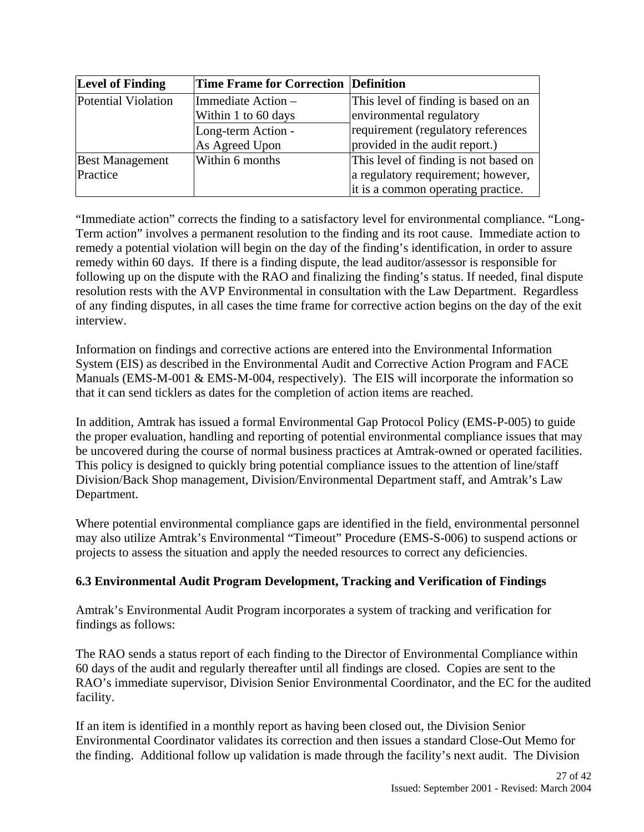| <b>Level of Finding</b>                                          | Time Frame for Correction Definition |                                                                                                                   |
|------------------------------------------------------------------|--------------------------------------|-------------------------------------------------------------------------------------------------------------------|
| Potential Violation<br>Immediate Action -<br>Within 1 to 60 days |                                      | This level of finding is based on an<br>environmental regulatory                                                  |
|                                                                  | Long-term Action -<br>As Agreed Upon | requirement (regulatory references<br>provided in the audit report.)                                              |
| <b>Best Management</b><br>Practice                               | Within 6 months                      | This level of finding is not based on<br>a regulatory requirement; however,<br>it is a common operating practice. |

"Immediate action" corrects the finding to a satisfactory level for environmental compliance. "Long-Term action" involves a permanent resolution to the finding and its root cause. Immediate action to remedy a potential violation will begin on the day of the finding's identification, in order to assure remedy within 60 days. If there is a finding dispute, the lead auditor/assessor is responsible for following up on the dispute with the RAO and finalizing the finding's status. If needed, final dispute resolution rests with the AVP Environmental in consultation with the Law Department. Regardless of any finding disputes, in all cases the time frame for corrective action begins on the day of the exit interview.

Information on findings and corrective actions are entered into the Environmental Information System (EIS) as described in the Environmental Audit and Corrective Action Program and FACE Manuals (EMS-M-001 & EMS-M-004, respectively). The EIS will incorporate the information so that it can send ticklers as dates for the completion of action items are reached.

In addition, Amtrak has issued a formal Environmental Gap Protocol Policy (EMS-P-005) to guide the proper evaluation, handling and reporting of potential environmental compliance issues that may be uncovered during the course of normal business practices at Amtrak-owned or operated facilities. This policy is designed to quickly bring potential compliance issues to the attention of line/staff Division/Back Shop management, Division/Environmental Department staff, and Amtrak's Law Department.

Where potential environmental compliance gaps are identified in the field, environmental personnel may also utilize Amtrak's Environmental "Timeout" Procedure (EMS-S-006) to suspend actions or projects to assess the situation and apply the needed resources to correct any deficiencies.

### **6.3 Environmental Audit Program Development, Tracking and Verification of Findings**

Amtrak's Environmental Audit Program incorporates a system of tracking and verification for findings as follows:

The RAO sends a status report of each finding to the Director of Environmental Compliance within 60 days of the audit and regularly thereafter until all findings are closed. Copies are sent to the RAO's immediate supervisor, Division Senior Environmental Coordinator, and the EC for the audited facility.

If an item is identified in a monthly report as having been closed out, the Division Senior Environmental Coordinator validates its correction and then issues a standard Close-Out Memo for the finding. Additional follow up validation is made through the facility's next audit. The Division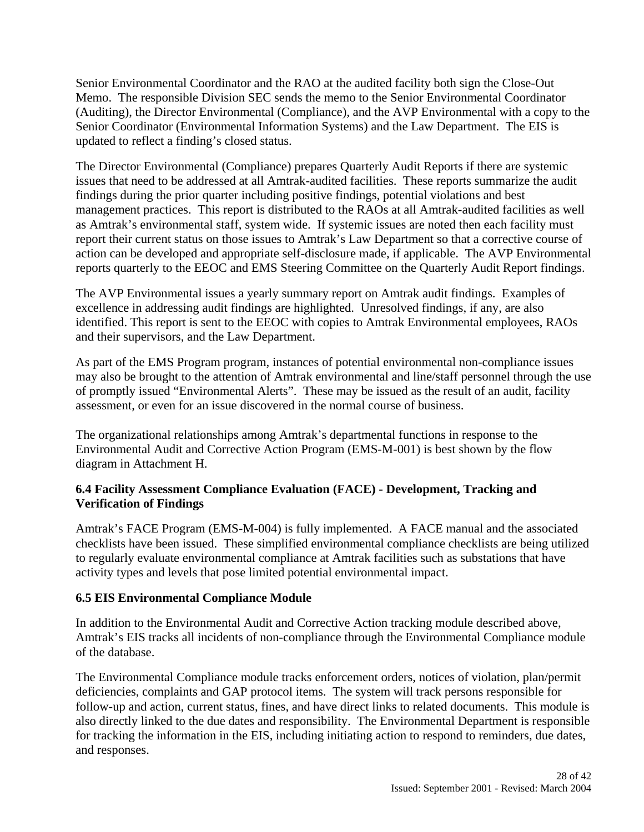Senior Environmental Coordinator and the RAO at the audited facility both sign the Close-Out Memo. The responsible Division SEC sends the memo to the Senior Environmental Coordinator (Auditing), the Director Environmental (Compliance), and the AVP Environmental with a copy to the Senior Coordinator (Environmental Information Systems) and the Law Department. The EIS is updated to reflect a finding's closed status.

The Director Environmental (Compliance) prepares Quarterly Audit Reports if there are systemic issues that need to be addressed at all Amtrak-audited facilities. These reports summarize the audit findings during the prior quarter including positive findings, potential violations and best management practices. This report is distributed to the RAOs at all Amtrak-audited facilities as well as Amtrak's environmental staff, system wide. If systemic issues are noted then each facility must report their current status on those issues to Amtrak's Law Department so that a corrective course of action can be developed and appropriate self-disclosure made, if applicable. The AVP Environmental reports quarterly to the EEOC and EMS Steering Committee on the Quarterly Audit Report findings.

The AVP Environmental issues a yearly summary report on Amtrak audit findings. Examples of excellence in addressing audit findings are highlighted. Unresolved findings, if any, are also identified. This report is sent to the EEOC with copies to Amtrak Environmental employees, RAOs and their supervisors, and the Law Department.

As part of the EMS Program program, instances of potential environmental non-compliance issues may also be brought to the attention of Amtrak environmental and line/staff personnel through the use of promptly issued "Environmental Alerts". These may be issued as the result of an audit, facility assessment, or even for an issue discovered in the normal course of business.

The organizational relationships among Amtrak's departmental functions in response to the Environmental Audit and Corrective Action Program (EMS-M-001) is best shown by the flow diagram in Attachment H.

### **6.4 Facility Assessment Compliance Evaluation (FACE) - Development, Tracking and Verification of Findings**

Amtrak's FACE Program (EMS-M-004) is fully implemented. A FACE manual and the associated checklists have been issued. These simplified environmental compliance checklists are being utilized to regularly evaluate environmental compliance at Amtrak facilities such as substations that have activity types and levels that pose limited potential environmental impact.

### **6.5 EIS Environmental Compliance Module**

In addition to the Environmental Audit and Corrective Action tracking module described above, Amtrak's EIS tracks all incidents of non-compliance through the Environmental Compliance module of the database.

The Environmental Compliance module tracks enforcement orders, notices of violation, plan/permit deficiencies, complaints and GAP protocol items. The system will track persons responsible for follow-up and action, current status, fines, and have direct links to related documents. This module is also directly linked to the due dates and responsibility. The Environmental Department is responsible for tracking the information in the EIS, including initiating action to respond to reminders, due dates, and responses.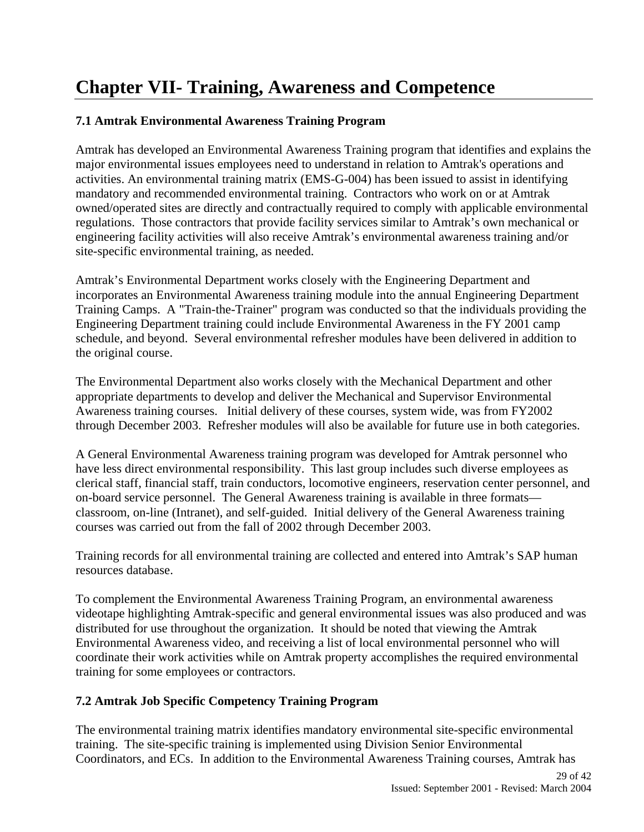# **Chapter VII- Training, Awareness and Competence**

### **7.1 Amtrak Environmental Awareness Training Program**

Amtrak has developed an Environmental Awareness Training program that identifies and explains the major environmental issues employees need to understand in relation to Amtrak's operations and activities. An environmental training matrix (EMS-G-004) has been issued to assist in identifying mandatory and recommended environmental training. Contractors who work on or at Amtrak owned/operated sites are directly and contractually required to comply with applicable environmental regulations. Those contractors that provide facility services similar to Amtrak's own mechanical or engineering facility activities will also receive Amtrak's environmental awareness training and/or site-specific environmental training, as needed.

Amtrak's Environmental Department works closely with the Engineering Department and incorporates an Environmental Awareness training module into the annual Engineering Department Training Camps. A "Train-the-Trainer" program was conducted so that the individuals providing the Engineering Department training could include Environmental Awareness in the FY 2001 camp schedule, and beyond. Several environmental refresher modules have been delivered in addition to the original course.

The Environmental Department also works closely with the Mechanical Department and other appropriate departments to develop and deliver the Mechanical and Supervisor Environmental Awareness training courses. Initial delivery of these courses, system wide, was from FY2002 through December 2003. Refresher modules will also be available for future use in both categories.

A General Environmental Awareness training program was developed for Amtrak personnel who have less direct environmental responsibility. This last group includes such diverse employees as clerical staff, financial staff, train conductors, locomotive engineers, reservation center personnel, and on-board service personnel. The General Awareness training is available in three formats classroom, on-line (Intranet), and self-guided. Initial delivery of the General Awareness training courses was carried out from the fall of 2002 through December 2003.

Training records for all environmental training are collected and entered into Amtrak's SAP human resources database.

To complement the Environmental Awareness Training Program, an environmental awareness videotape highlighting Amtrak-specific and general environmental issues was also produced and was distributed for use throughout the organization. It should be noted that viewing the Amtrak Environmental Awareness video, and receiving a list of local environmental personnel who will coordinate their work activities while on Amtrak property accomplishes the required environmental training for some employees or contractors.

### **7.2 Amtrak Job Specific Competency Training Program**

The environmental training matrix identifies mandatory environmental site-specific environmental training. The site-specific training is implemented using Division Senior Environmental Coordinators, and ECs. In addition to the Environmental Awareness Training courses, Amtrak has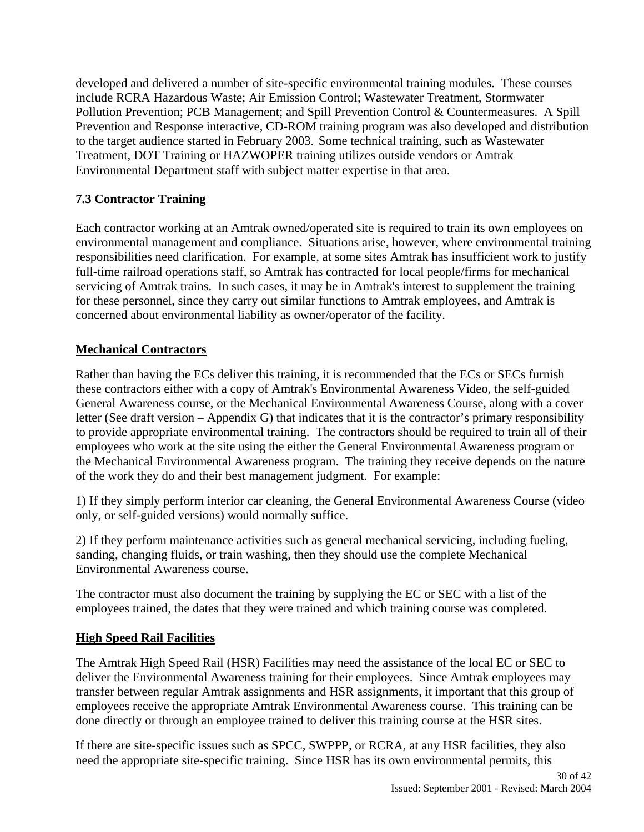developed and delivered a number of site-specific environmental training modules. These courses include RCRA Hazardous Waste; Air Emission Control; Wastewater Treatment, Stormwater Pollution Prevention; PCB Management; and Spill Prevention Control & Countermeasures. A Spill Prevention and Response interactive, CD-ROM training program was also developed and distribution to the target audience started in February 2003. Some technical training, such as Wastewater Treatment, DOT Training or HAZWOPER training utilizes outside vendors or Amtrak Environmental Department staff with subject matter expertise in that area.

### **7.3 Contractor Training**

Each contractor working at an Amtrak owned/operated site is required to train its own employees on environmental management and compliance. Situations arise, however, where environmental training responsibilities need clarification. For example, at some sites Amtrak has insufficient work to justify full-time railroad operations staff, so Amtrak has contracted for local people/firms for mechanical servicing of Amtrak trains. In such cases, it may be in Amtrak's interest to supplement the training for these personnel, since they carry out similar functions to Amtrak employees, and Amtrak is concerned about environmental liability as owner/operator of the facility.

### **Mechanical Contractors**

Rather than having the ECs deliver this training, it is recommended that the ECs or SECs furnish these contractors either with a copy of Amtrak's Environmental Awareness Video, the self-guided General Awareness course, or the Mechanical Environmental Awareness Course, along with a cover letter (See draft version – Appendix G) that indicates that it is the contractor's primary responsibility to provide appropriate environmental training. The contractors should be required to train all of their employees who work at the site using the either the General Environmental Awareness program or the Mechanical Environmental Awareness program. The training they receive depends on the nature of the work they do and their best management judgment. For example:

1) If they simply perform interior car cleaning, the General Environmental Awareness Course (video only, or self-guided versions) would normally suffice.

2) If they perform maintenance activities such as general mechanical servicing, including fueling, sanding, changing fluids, or train washing, then they should use the complete Mechanical Environmental Awareness course.

The contractor must also document the training by supplying the EC or SEC with a list of the employees trained, the dates that they were trained and which training course was completed.

### **High Speed Rail Facilities**

The Amtrak High Speed Rail (HSR) Facilities may need the assistance of the local EC or SEC to deliver the Environmental Awareness training for their employees. Since Amtrak employees may transfer between regular Amtrak assignments and HSR assignments, it important that this group of employees receive the appropriate Amtrak Environmental Awareness course. This training can be done directly or through an employee trained to deliver this training course at the HSR sites.

If there are site-specific issues such as SPCC, SWPPP, or RCRA, at any HSR facilities, they also need the appropriate site-specific training. Since HSR has its own environmental permits, this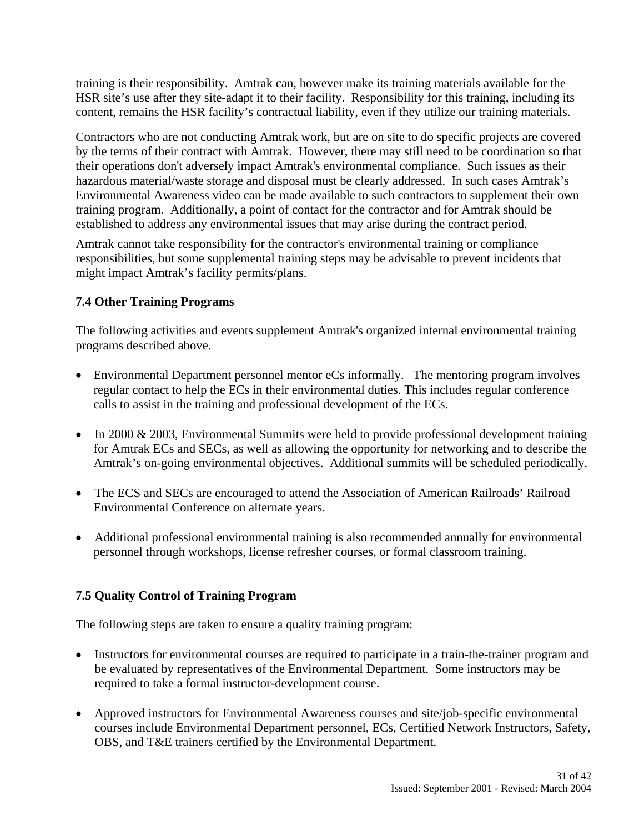training is their responsibility. Amtrak can, however make its training materials available for the HSR site's use after they site-adapt it to their facility. Responsibility for this training, including its content, remains the HSR facility's contractual liability, even if they utilize our training materials.

Contractors who are not conducting Amtrak work, but are on site to do specific projects are covered by the terms of their contract with Amtrak. However, there may still need to be coordination so that their operations don't adversely impact Amtrak's environmental compliance. Such issues as their hazardous material/waste storage and disposal must be clearly addressed. In such cases Amtrak's Environmental Awareness video can be made available to such contractors to supplement their own training program. Additionally, a point of contact for the contractor and for Amtrak should be established to address any environmental issues that may arise during the contract period.

Amtrak cannot take responsibility for the contractor's environmental training or compliance responsibilities, but some supplemental training steps may be advisable to prevent incidents that might impact Amtrak's facility permits/plans.

### **7.4 Other Training Programs**

The following activities and events supplement Amtrak's organized internal environmental training programs described above.

- Environmental Department personnel mentor eCs informally. The mentoring program involves regular contact to help the ECs in their environmental duties. This includes regular conference calls to assist in the training and professional development of the ECs.
- In 2000 & 2003, Environmental Summits were held to provide professional development training for Amtrak ECs and SECs, as well as allowing the opportunity for networking and to describe the Amtrak's on-going environmental objectives. Additional summits will be scheduled periodically.
- The ECS and SECs are encouraged to attend the Association of American Railroads' Railroad Environmental Conference on alternate years.
- Additional professional environmental training is also recommended annually for environmental personnel through workshops, license refresher courses, or formal classroom training.

### **7.5 Quality Control of Training Program**

The following steps are taken to ensure a quality training program:

- Instructors for environmental courses are required to participate in a train-the-trainer program and be evaluated by representatives of the Environmental Department. Some instructors may be required to take a formal instructor-development course.
- Approved instructors for Environmental Awareness courses and site/job-specific environmental courses include Environmental Department personnel, ECs, Certified Network Instructors, Safety, OBS, and T&E trainers certified by the Environmental Department.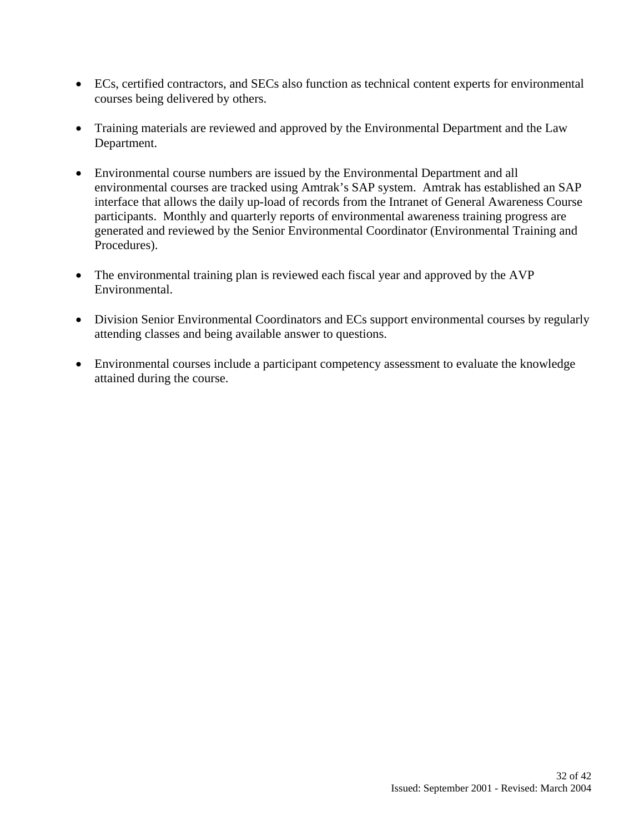- ECs, certified contractors, and SECs also function as technical content experts for environmental courses being delivered by others.
- Training materials are reviewed and approved by the Environmental Department and the Law Department.
- Environmental course numbers are issued by the Environmental Department and all environmental courses are tracked using Amtrak's SAP system. Amtrak has established an SAP interface that allows the daily up-load of records from the Intranet of General Awareness Course participants. Monthly and quarterly reports of environmental awareness training progress are generated and reviewed by the Senior Environmental Coordinator (Environmental Training and Procedures).
- The environmental training plan is reviewed each fiscal year and approved by the AVP Environmental.
- Division Senior Environmental Coordinators and ECs support environmental courses by regularly attending classes and being available answer to questions.
- Environmental courses include a participant competency assessment to evaluate the knowledge attained during the course.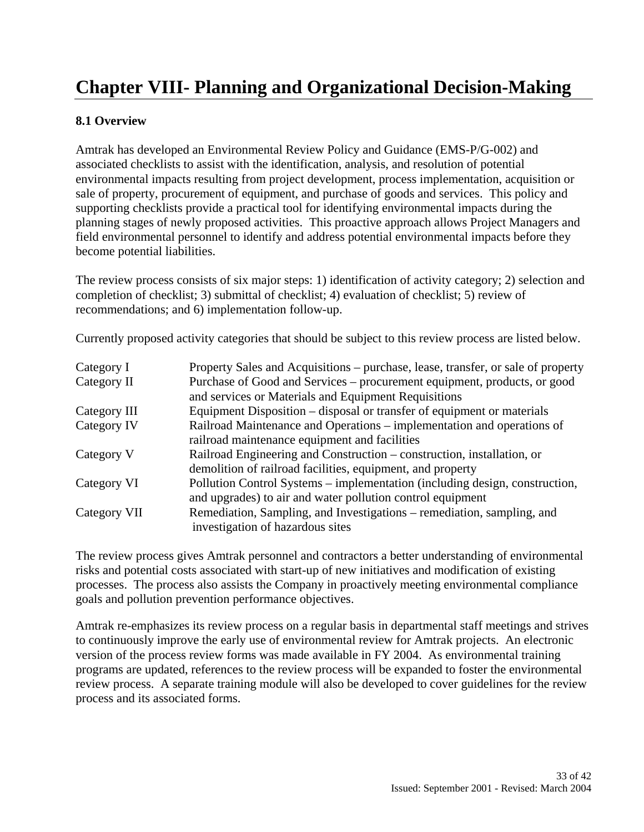# **Chapter VIII- Planning and Organizational Decision-Making**

### **8.1 Overview**

Amtrak has developed an Environmental Review Policy and Guidance (EMS-P/G-002) and associated checklists to assist with the identification, analysis, and resolution of potential environmental impacts resulting from project development, process implementation, acquisition or sale of property, procurement of equipment, and purchase of goods and services. This policy and supporting checklists provide a practical tool for identifying environmental impacts during the planning stages of newly proposed activities. This proactive approach allows Project Managers and field environmental personnel to identify and address potential environmental impacts before they become potential liabilities.

The review process consists of six major steps: 1) identification of activity category; 2) selection and completion of checklist; 3) submittal of checklist; 4) evaluation of checklist; 5) review of recommendations; and 6) implementation follow-up.

Currently proposed activity categories that should be subject to this review process are listed below.

| Category I   | Property Sales and Acquisitions – purchase, lease, transfer, or sale of property |
|--------------|----------------------------------------------------------------------------------|
| Category II  | Purchase of Good and Services – procurement equipment, products, or good         |
|              | and services or Materials and Equipment Requisitions                             |
| Category III | Equipment Disposition – disposal or transfer of equipment or materials           |
| Category IV  | Railroad Maintenance and Operations – implementation and operations of           |
|              | railroad maintenance equipment and facilities                                    |
| Category V   | Railroad Engineering and Construction – construction, installation, or           |
|              | demolition of railroad facilities, equipment, and property                       |
| Category VI  | Pollution Control Systems – implementation (including design, construction,      |
|              | and upgrades) to air and water pollution control equipment                       |
| Category VII | Remediation, Sampling, and Investigations – remediation, sampling, and           |
|              | investigation of hazardous sites                                                 |

The review process gives Amtrak personnel and contractors a better understanding of environmental risks and potential costs associated with start-up of new initiatives and modification of existing processes. The process also assists the Company in proactively meeting environmental compliance goals and pollution prevention performance objectives.

Amtrak re-emphasizes its review process on a regular basis in departmental staff meetings and strives to continuously improve the early use of environmental review for Amtrak projects. An electronic version of the process review forms was made available in FY 2004. As environmental training programs are updated, references to the review process will be expanded to foster the environmental review process. A separate training module will also be developed to cover guidelines for the review process and its associated forms.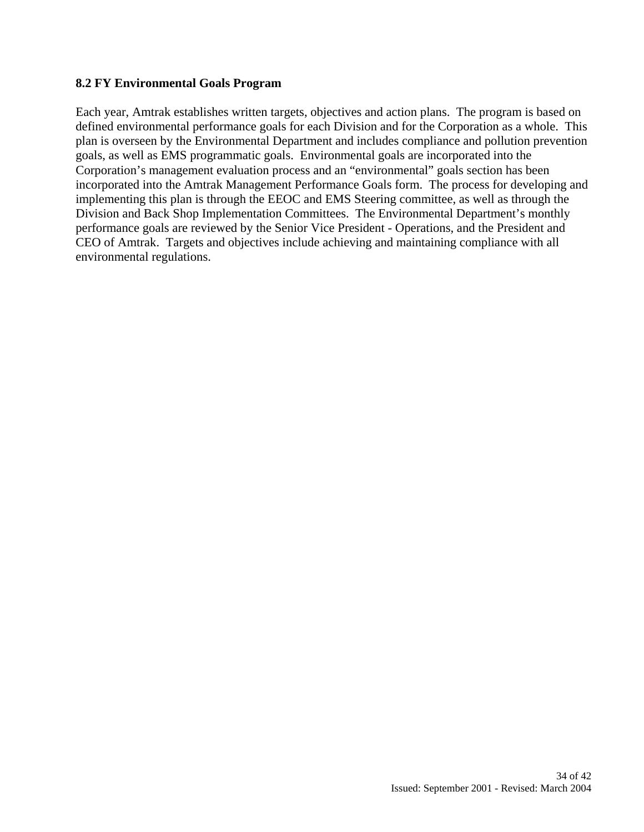### **8.2 FY Environmental Goals Program**

Each year, Amtrak establishes written targets, objectives and action plans. The program is based on defined environmental performance goals for each Division and for the Corporation as a whole. This plan is overseen by the Environmental Department and includes compliance and pollution prevention goals, as well as EMS programmatic goals. Environmental goals are incorporated into the Corporation's management evaluation process and an "environmental" goals section has been incorporated into the Amtrak Management Performance Goals form. The process for developing and implementing this plan is through the EEOC and EMS Steering committee, as well as through the Division and Back Shop Implementation Committees. The Environmental Department's monthly performance goals are reviewed by the Senior Vice President - Operations, and the President and CEO of Amtrak. Targets and objectives include achieving and maintaining compliance with all environmental regulations.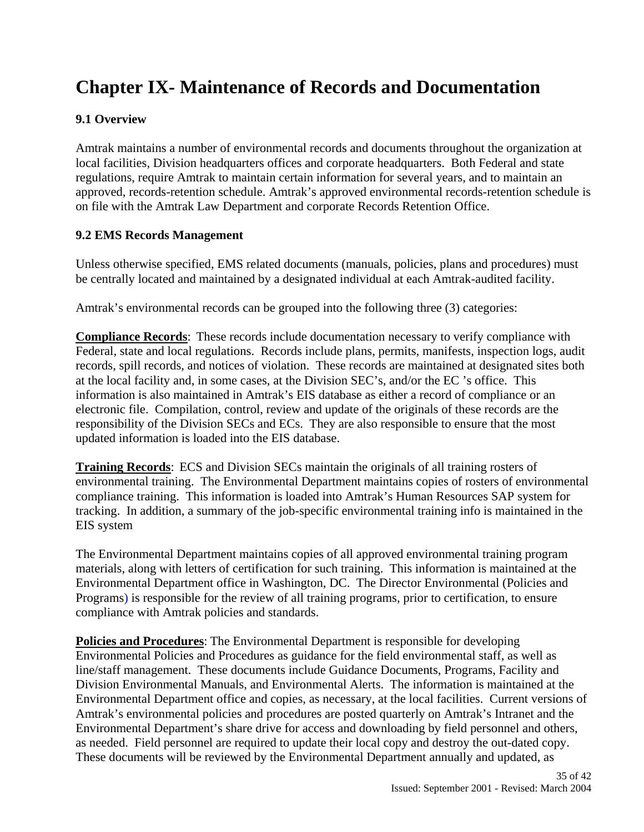# **Chapter IX- Maintenance of Records and Documentation**

### **9.1 Overview**

Amtrak maintains a number of environmental records and documents throughout the organization at local facilities, Division headquarters offices and corporate headquarters. Both Federal and state regulations, require Amtrak to maintain certain information for several years, and to maintain an approved, records-retention schedule. Amtrak's approved environmental records-retention schedule is on file with the Amtrak Law Department and corporate Records Retention Office.

### **9.2 EMS Records Management**

Unless otherwise specified, EMS related documents (manuals, policies, plans and procedures) must be centrally located and maintained by a designated individual at each Amtrak-audited facility.

Amtrak's environmental records can be grouped into the following three (3) categories:

**Compliance Records**: These records include documentation necessary to verify compliance with Federal, state and local regulations. Records include plans, permits, manifests, inspection logs, audit records, spill records, and notices of violation. These records are maintained at designated sites both at the local facility and, in some cases, at the Division SEC's, and/or the EC 's office. This information is also maintained in Amtrak's EIS database as either a record of compliance or an electronic file. Compilation, control, review and update of the originals of these records are the responsibility of the Division SECs and ECs. They are also responsible to ensure that the most updated information is loaded into the EIS database.

**Training Records**: ECS and Division SECs maintain the originals of all training rosters of environmental training. The Environmental Department maintains copies of rosters of environmental compliance training. This information is loaded into Amtrak's Human Resources SAP system for tracking. In addition, a summary of the job-specific environmental training info is maintained in the EIS system

The Environmental Department maintains copies of all approved environmental training program materials, along with letters of certification for such training. This information is maintained at the Environmental Department office in Washington, DC. The Director Environmental (Policies and Programs) is responsible for the review of all training programs, prior to certification, to ensure compliance with Amtrak policies and standards.

**Policies and Procedures**: The Environmental Department is responsible for developing Environmental Policies and Procedures as guidance for the field environmental staff, as well as line/staff management. These documents include Guidance Documents, Programs, Facility and Division Environmental Manuals, and Environmental Alerts. The information is maintained at the Environmental Department office and copies, as necessary, at the local facilities. Current versions of Amtrak's environmental policies and procedures are posted quarterly on Amtrak's Intranet and the Environmental Department's share drive for access and downloading by field personnel and others, as needed. Field personnel are required to update their local copy and destroy the out-dated copy. These documents will be reviewed by the Environmental Department annually and updated, as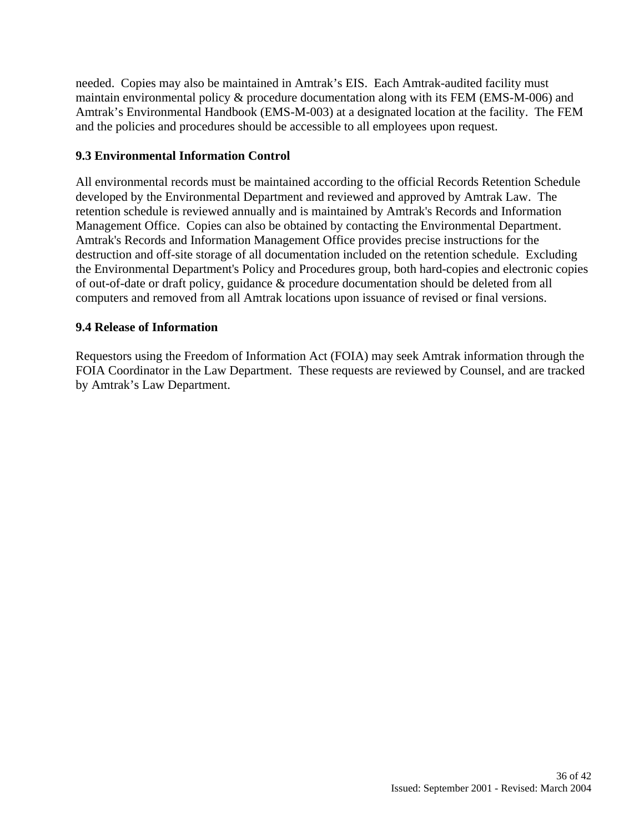needed. Copies may also be maintained in Amtrak's EIS. Each Amtrak-audited facility must maintain environmental policy & procedure documentation along with its FEM (EMS-M-006) and Amtrak's Environmental Handbook (EMS-M-003) at a designated location at the facility. The FEM and the policies and procedures should be accessible to all employees upon request.

### **9.3 Environmental Information Control**

All environmental records must be maintained according to the official Records Retention Schedule developed by the Environmental Department and reviewed and approved by Amtrak Law. The retention schedule is reviewed annually and is maintained by Amtrak's Records and Information Management Office. Copies can also be obtained by contacting the Environmental Department. Amtrak's Records and Information Management Office provides precise instructions for the destruction and off-site storage of all documentation included on the retention schedule. Excluding the Environmental Department's Policy and Procedures group, both hard-copies and electronic copies of out-of-date or draft policy, guidance & procedure documentation should be deleted from all computers and removed from all Amtrak locations upon issuance of revised or final versions.

### **9.4 Release of Information**

Requestors using the Freedom of Information Act (FOIA) may seek Amtrak information through the FOIA Coordinator in the Law Department. These requests are reviewed by Counsel, and are tracked by Amtrak's Law Department.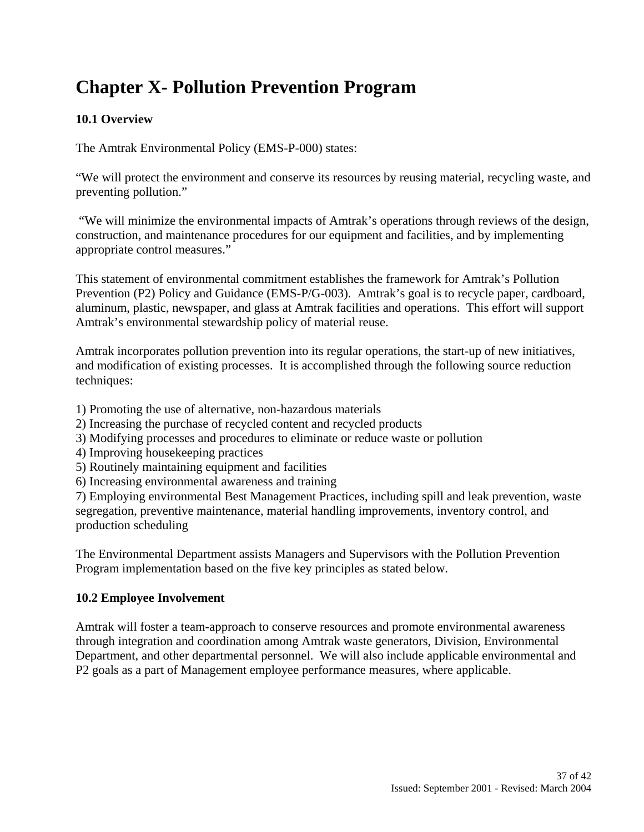# **Chapter X- Pollution Prevention Program**

### **10.1 Overview**

The Amtrak Environmental Policy (EMS-P-000) states:

"We will protect the environment and conserve its resources by reusing material, recycling waste, and preventing pollution."

 "We will minimize the environmental impacts of Amtrak's operations through reviews of the design, construction, and maintenance procedures for our equipment and facilities, and by implementing appropriate control measures."

This statement of environmental commitment establishes the framework for Amtrak's Pollution Prevention (P2) Policy and Guidance (EMS-P/G-003). Amtrak's goal is to recycle paper, cardboard, aluminum, plastic, newspaper, and glass at Amtrak facilities and operations. This effort will support Amtrak's environmental stewardship policy of material reuse.

Amtrak incorporates pollution prevention into its regular operations, the start-up of new initiatives, and modification of existing processes. It is accomplished through the following source reduction techniques:

- 1) Promoting the use of alternative, non-hazardous materials
- 2) Increasing the purchase of recycled content and recycled products
- 3) Modifying processes and procedures to eliminate or reduce waste or pollution
- 4) Improving housekeeping practices
- 5) Routinely maintaining equipment and facilities
- 6) Increasing environmental awareness and training

7) Employing environmental Best Management Practices, including spill and leak prevention, waste segregation, preventive maintenance, material handling improvements, inventory control, and production scheduling

The Environmental Department assists Managers and Supervisors with the Pollution Prevention Program implementation based on the five key principles as stated below.

### **10.2 Employee Involvement**

Amtrak will foster a team-approach to conserve resources and promote environmental awareness through integration and coordination among Amtrak waste generators, Division, Environmental Department, and other departmental personnel. We will also include applicable environmental and P2 goals as a part of Management employee performance measures, where applicable.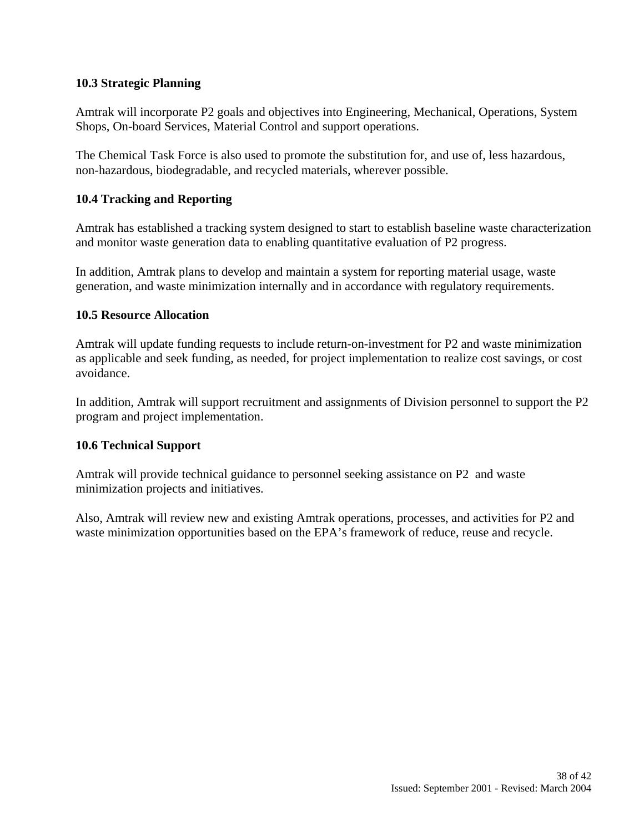### **10.3 Strategic Planning**

Amtrak will incorporate P2 goals and objectives into Engineering, Mechanical, Operations, System Shops, On-board Services, Material Control and support operations.

The Chemical Task Force is also used to promote the substitution for, and use of, less hazardous, non-hazardous, biodegradable, and recycled materials, wherever possible.

### **10.4 Tracking and Reporting**

Amtrak has established a tracking system designed to start to establish baseline waste characterization and monitor waste generation data to enabling quantitative evaluation of P2 progress.

In addition, Amtrak plans to develop and maintain a system for reporting material usage, waste generation, and waste minimization internally and in accordance with regulatory requirements.

### **10.5 Resource Allocation**

Amtrak will update funding requests to include return-on-investment for P2 and waste minimization as applicable and seek funding, as needed, for project implementation to realize cost savings, or cost avoidance.

In addition, Amtrak will support recruitment and assignments of Division personnel to support the P2 program and project implementation.

### **10.6 Technical Support**

Amtrak will provide technical guidance to personnel seeking assistance on P2 and waste minimization projects and initiatives.

Also, Amtrak will review new and existing Amtrak operations, processes, and activities for P2 and waste minimization opportunities based on the EPA's framework of reduce, reuse and recycle.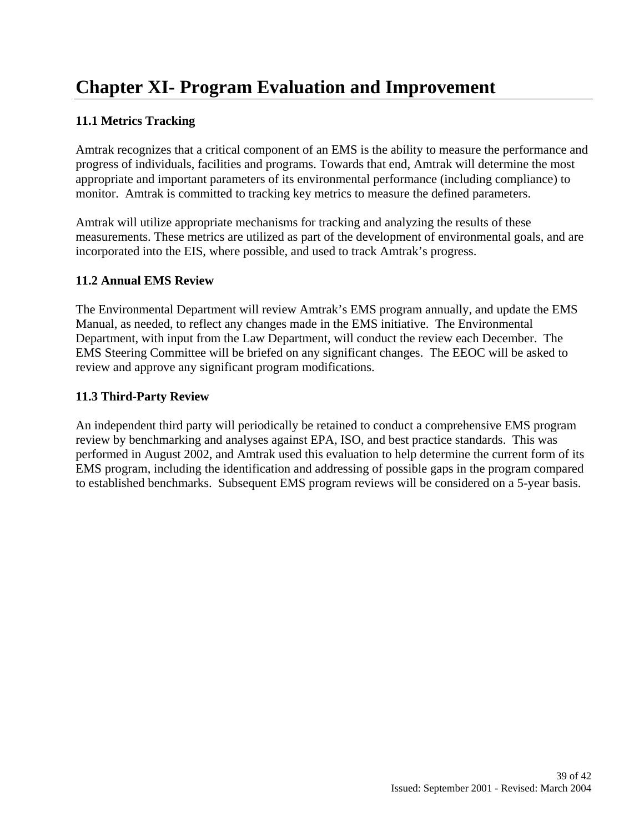# **Chapter XI- Program Evaluation and Improvement**

### **11.1 Metrics Tracking**

Amtrak recognizes that a critical component of an EMS is the ability to measure the performance and progress of individuals, facilities and programs. Towards that end, Amtrak will determine the most appropriate and important parameters of its environmental performance (including compliance) to monitor. Amtrak is committed to tracking key metrics to measure the defined parameters.

Amtrak will utilize appropriate mechanisms for tracking and analyzing the results of these measurements. These metrics are utilized as part of the development of environmental goals, and are incorporated into the EIS, where possible, and used to track Amtrak's progress.

### **11.2 Annual EMS Review**

The Environmental Department will review Amtrak's EMS program annually, and update the EMS Manual, as needed, to reflect any changes made in the EMS initiative. The Environmental Department, with input from the Law Department, will conduct the review each December. The EMS Steering Committee will be briefed on any significant changes. The EEOC will be asked to review and approve any significant program modifications.

### **11.3 Third-Party Review**

An independent third party will periodically be retained to conduct a comprehensive EMS program review by benchmarking and analyses against EPA, ISO, and best practice standards. This was performed in August 2002, and Amtrak used this evaluation to help determine the current form of its EMS program, including the identification and addressing of possible gaps in the program compared to established benchmarks. Subsequent EMS program reviews will be considered on a 5-year basis.